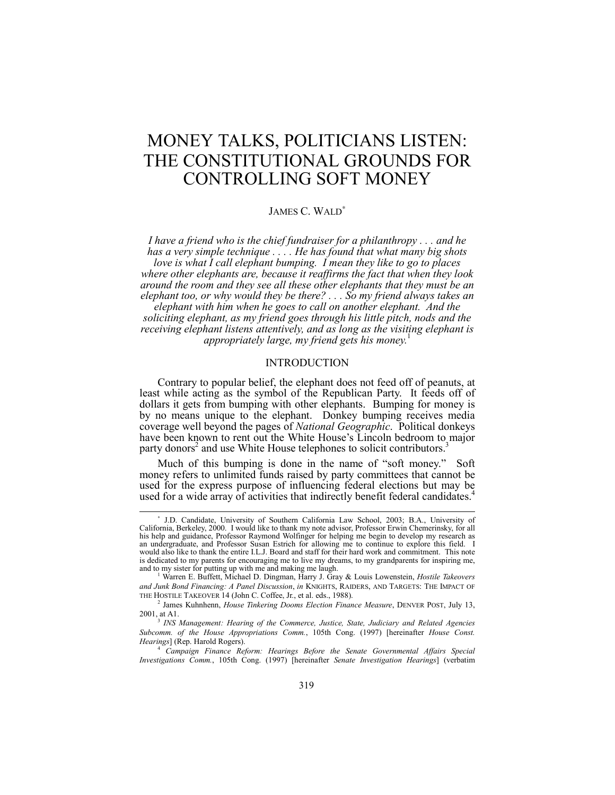# MONEY TALKS, POLITICIANS LISTEN: THE CONSTITUTIONAL GROUNDS FOR CONTROLLING SOFT MONEY

# JAMES C. WALD<sup>∗</sup>

*I have a friend who is the chief fundraiser for a philanthropy . . . and he has a very simple technique . . . . He has found that what many big shots love is what I call elephant bumping. I mean they like to go to places where other elephants are, because it reaffirms the fact that when they look around the room and they see all these other elephants that they must be an elephant too, or why would they be there? . . . So my friend always takes an elephant with him when he goes to call on another elephant. And the soliciting elephant, as my friend goes through his little pitch, nods and the receiving elephant listens attentively, and as long as the visiting elephant is appropriately large, my friend gets his money.*<sup>1</sup>

## INTRODUCTION

Contrary to popular belief, the elephant does not feed off of peanuts, at least while acting as the symbol of the Republican Party. It feeds off of dollars it gets from bumping with other elephants. Bumping for money is by no means unique to the elephant. Donkey bumping receives media coverage well beyond the pages of *National Geographic*. Political donkeys have been known to rent out the White House's Lincoln bedroom to major party donors<sup>2</sup> and use White House telephones to solicit contributors.<sup>3</sup>

Much of this bumping is done in the name of "soft money." Soft money refers to unlimited funds raised by party committees that cannot be used for the express purpose of influencing federal elections but may be used for a wide array of activities that indirectly benefit federal candidates.<sup>4</sup>

<sup>∗</sup> J.D. Candidate, University of Southern California Law School, 2003; B.A., University of California, Berkeley, 2000. I would like to thank my note advisor, Professor Erwin Chemerinsky, for all his help and guidance, Professor Raymond Wolfinger for helping me begin to develop my research as an undergraduate, and Professor Susan Estrich for allowing me to continue to explore this field. I would also like to thank the entire I.L.J. Board and staff for their hard work and commitment. This note is dedicated to my parents for encouraging me to live my dreams, to my grandparents for inspiring me, and to my sister for putting up with me and making me laugh. <sup>1</sup>

Warren E. Buffett, Michael D. Dingman, Harry J. Gray & Louis Lowenstein, *Hostile Takeovers and Junk Bond Financing: A Panel Discussion*, *in* KNIGHTS, RAIDERS, AND TARGETS: THE IMPACT OF THE HOSTILE TAKEOVER 14 (John C. Coffee, Jr., et al. eds., 1988).

<sup>2</sup> James Kuhnhenn, *House Tinkering Dooms Election Finance Measure*, DENVER POST, July 13, 2001, at A1.

<sup>3</sup> *INS Management: Hearing of the Commerce, Justice, State, Judiciary and Related Agencies Subcomm. of the House Appropriations Comm.*, 105th Cong. (1997) [hereinafter *House Const. Hearings*] (Rep. Harold Rogers).

<sup>4</sup> *Campaign Finance Reform: Hearings Before the Senate Governmental Affairs Special Investigations Comm.*, 105th Cong. (1997) [hereinafter *Senate Investigation Hearings*] (verbatim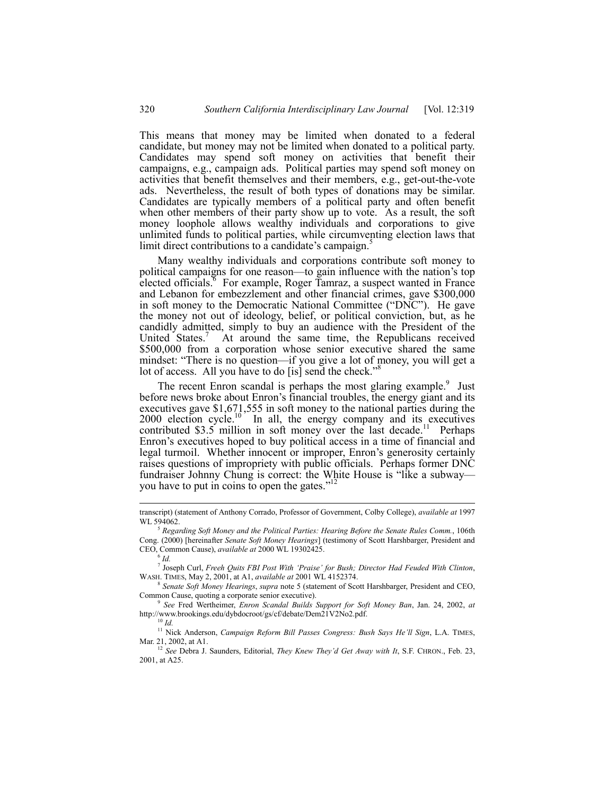This means that money may be limited when donated to a federal candidate, but money may not be limited when donated to a political party. Candidates may spend soft money on activities that benefit their campaigns, e.g., campaign ads. Political parties may spend soft money on activities that benefit themselves and their members, e.g., get-out-the-vote ads. Nevertheless, the result of both types of donations may be similar. Candidates are typically members of a political party and often benefit when other members of their party show up to vote. As a result, the soft money loophole allows wealthy individuals and corporations to give unlimited funds to political parties, while circumventing election laws that limit direct contributions to a candidate's campaign.<sup>5</sup>

Many wealthy individuals and corporations contribute soft money to political campaigns for one reason—to gain influence with the nation's top elected officials.<sup>8</sup> For example, Roger Tamraz, a suspect wanted in France and Lebanon for embezzlement and other financial crimes, gave \$300,000 in soft money to the Democratic National Committee ("DNC"). He gave the money not out of ideology, belief, or political conviction, but, as he candidly admitted, simply to buy an audience with the President of the United States.<sup>7</sup> At around the same time, the Republicans received \$500,000 from a corporation whose senior executive shared the same mindset: "There is no question—if you give a lot of money, you will get a lot of access. All you have to do [is] send the check."

The recent Enron scandal is perhaps the most glaring example.<sup>9</sup> Just before news broke about Enron's financial troubles, the energy giant and its executives gave \$1,671,555 in soft money to the national parties during the 2000 election cycle.<sup>10</sup> In all, the energy company and its executives contributed  $$3.5$  million in soft money over the last decade.<sup>11</sup> Perhaps Enron's executives hoped to buy political access in a time of financial and legal turmoil. Whether innocent or improper, Enron's generosity certainly raises questions of impropriety with public officials. Perhaps former DNC fundraiser Johnny Chung is correct: the White House is "like a subway you have to put in coins to open the gates."<sup>12</sup>

transcript) (statement of Anthony Corrado, Professor of Government, Colby College), *available at* <sup>1997</sup> WL 594062.

<sup>5</sup> *Regarding Soft Money and the Political Parties: Hearing Before the Senate Rules Comm.*, 106th Cong. (2000) [hereinafter *Senate Soft Money Hearings*] (testimony of Scott Harshbarger, President and CEO, Common Cause), *available at* 2000 WL 19302425.

 $^6$  *Id.* 

<sup>7</sup> Joseph Curl, *Freeh Quits FBI Post With ëPraiseí for Bush; Director Had Feuded With Clinton*, WASH. TIMES, May 2, 2001, at A1, *available at* 2001 WL 4152374.

<sup>8</sup> *Senate Soft Money Hearings*, *supra* note 5 (statement of Scott Harshbarger, President and CEO, Common Cause, quoting a corporate senior executive).

<sup>9</sup> *See* Fred Wertheimer, *Enron Scandal Builds Support for Soft Money Ban*, Jan. 24, 2002, *at* http://www.brookings.edu/dybdocroot/gs/cf/debate/Dem21V2No2.pdf.

<sup>10</sup> *Id.*

<sup>&</sup>lt;sup>11</sup> Nick Anderson, *Campaign Reform Bill Passes Congress: Bush Says He'll Sign*, L.A. TIMES, Mar. 21, 2002, at A1.

<sup>&</sup>lt;sup>12</sup> See Debra J. Saunders, Editorial, *They Knew They'd Get Away with It*, S.F. CHRON., Feb. 23, 2001, at A25.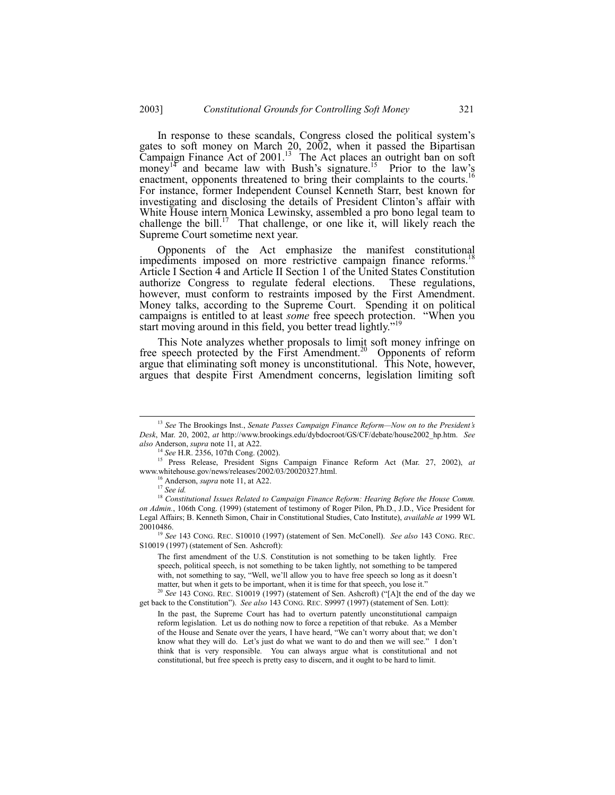In response to these scandals, Congress closed the political system's gates to soft money on March 20, 2002, when it passed the Bipartisan Campaign Finance Act of 2001.<sup>13</sup> The Act places an outright ban on soft money<sup>14</sup> and became law with Bush's signature.<sup>15</sup> Prior to the law's enactment, opponents threatened to bring their complaints to the courts.<sup>16</sup> For instance, former Independent Counsel Kenneth Starr, best known for investigating and disclosing the details of President Clinton's affair with White House intern Monica Lewinsky, assembled a pro bono legal team to challenge the bill.<sup>17</sup> That challenge, or one like it, will likely reach the Supreme Court sometime next year.

Opponents of the Act emphasize the manifest constitutional impediments imposed on more restrictive campaign finance reforms.<sup>1</sup> Article I Section 4 and Article II Section 1 of the United States Constitution authorize Congress to regulate federal elections. These regulations, however, must conform to restraints imposed by the First Amendment. Money talks, according to the Supreme Court. Spending it on political campaigns is entitled to at least *some* free speech protection. "When you start moving around in this field, you better tread lightly.<sup>719</sup>

This Note analyzes whether proposals to limit soft money infringe on free speech protected by the First Amendment.<sup>20</sup> Opponents of reform argue that eliminating soft money is unconstitutional. This Note, however, argues that despite First Amendment concerns, legislation limiting soft

The first amendment of the U.S. Constitution is not something to be taken lightly. Free speech, political speech, is not something to be taken lightly, not something to be tampered with, not something to say, "Well, we'll allow you to have free speech so long as it doesn't matter, but when it gets to be important, when it is time for that speech, you lose it."

See 143 CONG. REC. S10019 (1997) (statement of Sen. Ashcroft) ("[A]t the end of the day we get back to the Constitutionî). *See also* 143 CONG. REC. S9997 (1997) (statement of Sen. Lott):

<sup>&</sup>lt;sup>13</sup> *See* The Brookings Inst., *Senate Passes Campaign Finance Reform—Now on to the President's Desk*, Mar. 20, 2002, *at* http://www.brookings.edu/dybdocroot/GS/CF/debate/house2002\_hp.htm. *See also* Anderson, *supra* note 11, at A22.

<sup>14</sup> *See* H.R. 2356, 107th Cong. (2002).

<sup>15</sup> Press Release, President Signs Campaign Finance Reform Act (Mar. 27, 2002), *at* www.whitehouse.gov/news/releases/2002/03/20020327.html.

<sup>16</sup> Anderson, *supra* note 11, at A22.

<sup>17</sup> *See id.*

<sup>18</sup> *Constitutional Issues Related to Campaign Finance Reform: Hearing Before the House Comm. on Admin.*, 106th Cong. (1999) (statement of testimony of Roger Pilon, Ph.D., J.D., Vice President for Legal Affairs; B. Kenneth Simon, Chair in Constitutional Studies, Cato Institute), *available at* 1999 WL 20010486.

<sup>19</sup> *See* 143 CONG. REC. S10010 (1997) (statement of Sen. McConell). *See also* 143 CONG. REC. S10019 (1997) (statement of Sen. Ashcroft):

In the past, the Supreme Court has had to overturn patently unconstitutional campaign reform legislation. Let us do nothing now to force a repetition of that rebuke. As a Member of the House and Senate over the years, I have heard, "We can't worry about that; we don't know what they will do. Let's just do what we want to do and then we will see." I don't think that is very responsible. You can always argue what is constitutional and not constitutional, but free speech is pretty easy to discern, and it ought to be hard to limit.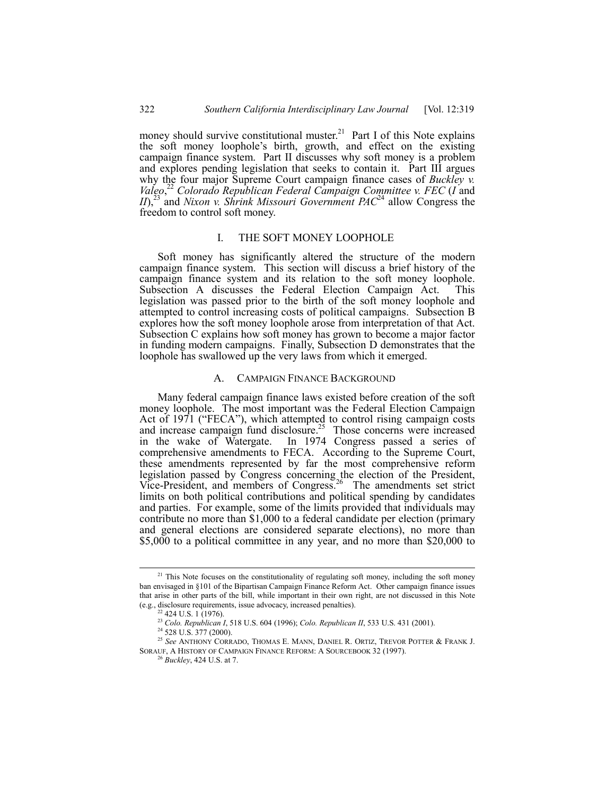money should survive constitutional muster.<sup>21</sup> Part I of this Note explains the soft money loophole's birth, growth, and effect on the existing campaign finance system. Part II discusses why soft money is a problem and explores pending legislation that seeks to contain it. Part III argues why the four major Supreme Court campaign finance cases of *Buckley v. Valeo*, <sup>22</sup> *Colorado Republican Federal Campaign Committee v. FEC* (*I* and *II*),<sup>23</sup> and *Nixon v. Shrink Missouri Government PAC*<sup>24</sup> allow Congress the freedom to control soft money.

# I. THE SOFT MONEY LOOPHOLE

Soft money has significantly altered the structure of the modern campaign finance system. This section will discuss a brief history of the campaign finance system and its relation to the soft money loophole. Subsection A discusses the Federal Election Campaign Act. This legislation was passed prior to the birth of the soft money loophole and attempted to control increasing costs of political campaigns. Subsection B explores how the soft money loophole arose from interpretation of that Act. Subsection C explains how soft money has grown to become a major factor in funding modern campaigns. Finally, Subsection D demonstrates that the loophole has swallowed up the very laws from which it emerged.

## A. CAMPAIGN FINANCE BACKGROUND

Many federal campaign finance laws existed before creation of the soft money loophole. The most important was the Federal Election Campaign Act of 1971 ("FECA"), which attempted to control rising campaign costs and increase campaign fund disclosure.<sup>25</sup> Those concerns were increased in the wake of Watergate. In 1974 Congress passed a series of comprehensive amendments to FECA. According to the Supreme Court, these amendments represented by far the most comprehensive reform legislation passed by Congress concerning the election of the President, Vice-President, and members of Congress.<sup>26</sup> The amendments set strict limits on both political contributions and political spending by candidates and parties. For example, some of the limits provided that individuals may contribute no more than \$1,000 to a federal candidate per election (primary and general elections are considered separate elections), no more than \$5,000 to a political committee in any year, and no more than \$20,000 to

<sup>&</sup>lt;sup>21</sup> This Note focuses on the constitutionality of regulating soft money, including the soft money ban envisaged in ß101 of the Bipartisan Campaign Finance Reform Act. Other campaign finance issues that arise in other parts of the bill, while important in their own right, are not discussed in this Note (e.g., disclosure requirements, issue advocacy, increased penalties).

<sup>&</sup>lt;sup>22</sup> 424 U.S. 1 (1976).

<sup>23</sup> *Colo. Republican I*, 518 U.S. 604 (1996); *Colo. Republican II*, 533 U.S. 431 (2001).

<sup>&</sup>lt;sup>24</sup> 528 U.S. 377 (2000).

<sup>25</sup> *See* ANTHONY CORRADO, THOMAS E. MANN, DANIEL R. ORTIZ, TREVOR POTTER & FRANK J. SORAUF, A HISTORY OF CAMPAIGN FINANCE REFORM: A SOURCEBOOK 32 (1997).

<sup>26</sup> *Buckley*, 424 U.S. at 7.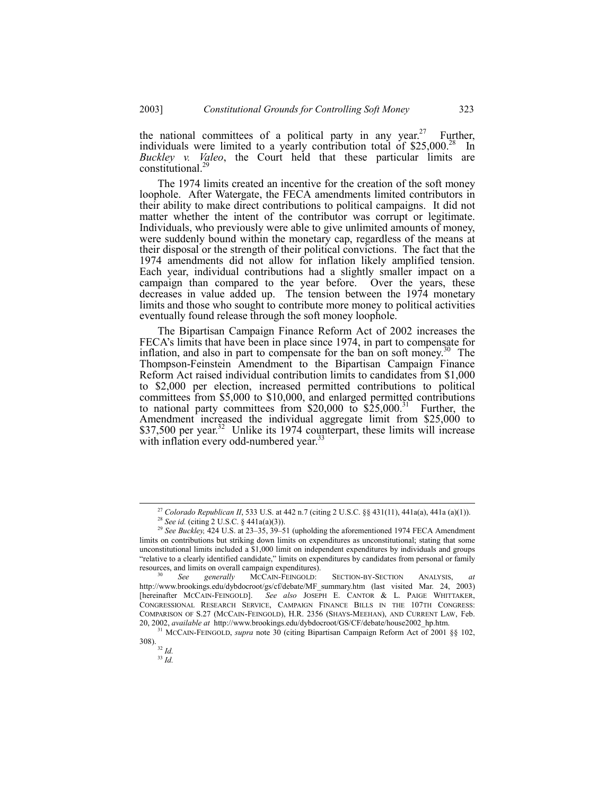the national committees of a political party in any year.<sup>27</sup> Further, individuals were limited to a yearly contribution total of  $$25,000<sup>28</sup>$  In *Buckley v. Valeo*, the Court held that these particular limits are constitutional.29

The 1974 limits created an incentive for the creation of the soft money loophole. After Watergate, the FECA amendments limited contributors in their ability to make direct contributions to political campaigns. It did not matter whether the intent of the contributor was corrupt or legitimate. Individuals, who previously were able to give unlimited amounts of money, were suddenly bound within the monetary cap, regardless of the means at their disposal or the strength of their political convictions. The fact that the 1974 amendments did not allow for inflation likely amplified tension. Each year, individual contributions had a slightly smaller impact on a campaign than compared to the year before. Over the years, these decreases in value added up. The tension between the 1974 monetary limits and those who sought to contribute more money to political activities eventually found release through the soft money loophole.

The Bipartisan Campaign Finance Reform Act of 2002 increases the FECA's limits that have been in place since 1974, in part to compensate for inflation, and also in part to compensate for the ban on soft money.<sup>30</sup> The Thompson-Feinstein Amendment to the Bipartisan Campaign Finance Reform Act raised individual contribution limits to candidates from \$1,000 to \$2,000 per election, increased permitted contributions to political committees from \$5,000 to \$10,000, and enlarged permitted contributions to national party committees from  $$20,000$  to  $$25,000$ .<sup>31</sup> Further, the Amendment increased the individual aggregate limit from \$25,000 to \$37,500 per year.<sup>32</sup> Unlike its 1974 counterpart, these limits will increase with inflation every odd-numbered year.<sup>33</sup>

<sup>&</sup>lt;sup>27</sup> *Colorado Republican II*, 533 U.S. at 442 n.7 (citing 2 U.S.C. §§ 431(11), 441a(a), 441a (a)(1)).

<sup>28</sup> *See id.* (citing 2 U.S.C. ß 441a(a)(3)).

<sup>&</sup>lt;sup>29</sup> See Buckley,  $424$  U.S. at  $23-35$ ,  $39-51$  (upholding the aforementioned 1974 FECA Amendment limits on contributions but striking down limits on expenditures as unconstitutional; stating that some unconstitutional limits included a \$1,000 limit on independent expenditures by individuals and groups ìrelative to a clearly identified candidate,î limits on expenditures by candidates from personal or family resources, and limits on overall campaign expenditures).

<sup>30</sup> *See generally* MCCAIN-FEINGOLD: SECTION-BY-SECTION ANALYSIS, *at* http://www.brookings.edu/dybdocroot/gs/cf/debate/MF\_summary.htm (last visited Mar. 24, 2003) [hereinafter MCCAIN-FEINGOLD]. *See also* JOSEPH E. CANTOR & L. PAIGE WHITTAKER, CONGRESSIONAL RESEARCH SERVICE, CAMPAIGN FINANCE BILLS IN THE 107TH CONGRESS: COMPARISON OF S.27 (MCCAIN-FEINGOLD), H.R. 2356 (SHAYS-MEEHAN), AND CURRENT LAW, Feb. 20, 2002, *available at* http://www.brookings.edu/dybdocroot/GS/CF/debate/house2002\_hp.htm.

<sup>&</sup>lt;sup>31</sup> MCCAIN-FEINGOLD, *supra* note 30 (citing Bipartisan Campaign Reform Act of 2001 §§ 102, 308).

<sup>32</sup> *Id.*

<sup>33</sup> *Id.*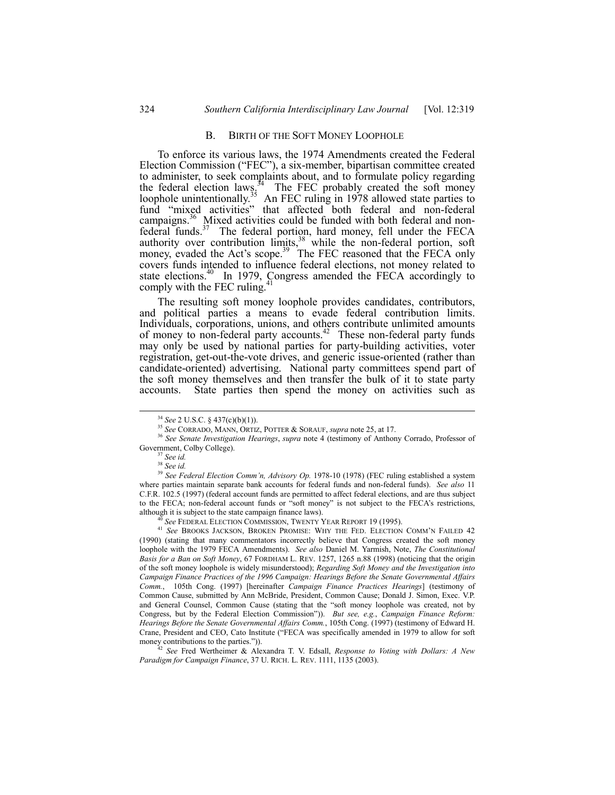#### B. BIRTH OF THE SOFT MONEY LOOPHOLE

To enforce its various laws, the 1974 Amendments created the Federal Election Commission ("FEC"), a six-member, bipartisan committee created to administer, to seek complaints about, and to formulate policy regarding the federal election laws.<sup>34</sup> The FEC probably created the soft money loophole unintentionally.<sup>35</sup> An FEC ruling in 1978 allowed state parties to fund "mixed activities" that affected both federal and non-federal campaigns.<sup>36</sup> Mixed activities could be funded with both federal and nonfederal funds.<sup>37</sup> The federal portion, hard money, fell under the FECA authority over contribution limits,  $38$  while the non-federal portion, soft money, evaded the Act's scope.<sup>39</sup> The FEC reasoned that the FECA only covers funds intended to influence federal elections, not money related to state elections.<sup>40</sup> In 1979, Congress amended the FECA accordingly to comply with the FEC ruling.

The resulting soft money loophole provides candidates, contributors, and political parties a means to evade federal contribution limits. Individuals, corporations, unions, and others contribute unlimited amounts of money to non-federal party accounts.<sup>42</sup> These non-federal party funds may only be used by national parties for party-building activities, voter registration, get-out-the-vote drives, and generic issue-oriented (rather than candidate-oriented) advertising. National party committees spend part of the soft money themselves and then transfer the bulk of it to state party accounts. State parties then spend the money on activities such as

<sup>42</sup> *See* Fred Wertheimer & Alexandra T. V. Edsall, *Response to Voting with Dollars: A New Paradigm for Campaign Finance*, 37 U. RICH. L. REV. 1111, 1135 (2003).

 <sup>34</sup> *See* 2 U.S.C. ß 437(c)(b)(1)).

<sup>35</sup> *See* CORRADO, MANN, ORTIZ, POTTER & SORAUF, *supra* note 25, at 17.

<sup>36</sup> *See Senate Investigation Hearings*, *supra* note 4 (testimony of Anthony Corrado, Professor of Government, Colby College).

<sup>37</sup> *See id.*

<sup>38</sup> *See id.*

<sup>&</sup>lt;sup>39</sup> See Federal Election Comm'n, Advisory Op. 1978-10 (1978) (FEC ruling established a system where parties maintain separate bank accounts for federal funds and non-federal funds). *See also* 11 C.F.R. 102.5 (1997) (federal account funds are permitted to affect federal elections, and are thus subject to the FECA; non-federal account funds or "soft money" is not subject to the FECA's restrictions, although it is subject to the state campaign finance laws).

<sup>&</sup>lt;sup>3</sup> See FEDERAL ELECTION COMMISSION, TWENTY YEAR REPORT 19 (1995).

<sup>&</sup>lt;sup>41</sup> See BROOKS JACKSON, BROKEN PROMISE: WHY THE FED. ELECTION COMM'N FAILED 42 (1990) (stating that many commentators incorrectly believe that Congress created the soft money loophole with the 1979 FECA Amendments). *See also* Daniel M. Yarmish, Note, *The Constitutional Basis for a Ban on Soft Money*, 67 FORDHAM L. REV. 1257, 1265 n.88 (1998) (noticing that the origin of the soft money loophole is widely misunderstood); *Regarding Soft Money and the Investigation into Campaign Finance Practices of the 1996 Campaign: Hearings Before the Senate Governmental Affairs Comm.*, 105th Cong. (1997) [hereinafter *Campaign Finance Practices Hearings*] (testimony of Common Cause, submitted by Ann McBride, President, Common Cause; Donald J. Simon, Exec. V.P. and General Counsel, Common Cause (stating that the "soft money loophole was created, not by Congress, but by the Federal Election Commissionî)). *But see, e.g.*, *Campaign Finance Reform: Hearings Before the Senate Governmental Affairs Comm.*, 105th Cong. (1997) (testimony of Edward H. Crane, President and CEO, Cato Institute ("FECA was specifically amended in 1979 to allow for soft money contributions to the parties.")).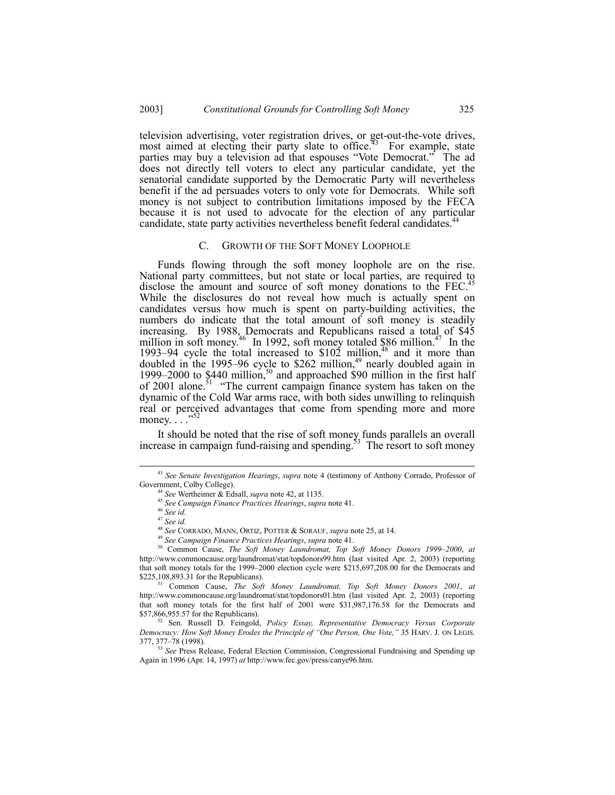television advertising, voter registration drives, or get-out-the-vote drives, most aimed at electing their party slate to office.<sup> $43$ </sup> For example, state parties may buy a television ad that espouses "Vote Democrat." The ad does not directly tell voters to elect any particular candidate, yet the senatorial candidate supported by the Democratic Party will nevertheless benefit if the ad persuades voters to only vote for Democrats. While soft money is not subject to contribution limitations imposed by the FECA because it is not used to advocate for the election of any particular candidate, state party activities nevertheless benefit federal candidates.<sup>4</sup>

#### C. GROWTH OF THE SOFT MONEY LOOPHOLE

Funds flowing through the soft money loophole are on the rise. National party committees, but not state or local parties, are required to disclose the amount and source of soft money donations to the FEC.<sup>4</sup> While the disclosures do not reveal how much is actually spent on candidates versus how much is spent on party-building activities, the numbers do indicate that the total amount of soft money is steadily increasing. By 1988, Democrats and Republicans raised a total of \$45 million in soft money.<sup>46</sup> In 1992, soft money totaled \$86 million.<sup>47</sup> In the 1993–94 cycle the total increased to  $$102$  million,<sup>48</sup> and it more than doubled in the 1995–96 cycle to \$262 million,<sup>49</sup> nearly doubled again in 1999–2000 to  $$440$  million,<sup>50</sup> and approached \$90 million in the first half of 2001 alone.<sup>51</sup>  $\cdot$  The current campaign finance system has taken on the dynamic of the Cold War arms race, with both sides unwilling to relinquish real or perceived advantages that come from spending more and more money.  $\ldots$ <sup>32</sup>

It should be noted that the rise of soft money funds parallels an overall increase in campaign fund-raising and spending.<sup>53</sup> The resort to soft money

<sup>49</sup> *See Campaign Finance Practices Hearings*, *supra* note 41.

 <sup>43</sup> *See Senate Investigation Hearings*, *supra* note 4 (testimony of Anthony Corrado, Professor of Government, Colby College).

<sup>44</sup> *See* Wertheimer & Edsall, *supra* note 42, at 1135.

<sup>45</sup> *See Campaign Finance Practices Hearings*, *supra* note 41.

<sup>46</sup> *See id.*

<sup>47</sup> *See id.*

<sup>48</sup> *See* CORRADO, MANN, ORTIZ, POTTER & SORAUF, *supra* note 25, at 14.

<sup>50</sup> Common Cause, *The Soft Money Laundromat, Top Soft Money Donors 1999-2000*, *at* http://www.commoncause.org/laundromat/stat/topdonors99.htm (last visited Apr. 2, 2003) (reporting that soft money totals for the 1999–2000 election cycle were  $$215,697,208.00$  for the Democrats and \$225,108,893.31 for the Republicans).

<sup>51</sup> Common Cause, *The Soft Money Laundromat, Top Soft Money Donors 2001*, *at* http://www.commoncause.org/laundromat/stat/topdonors01.htm (last visited Apr. 2, 2003) (reporting that soft money totals for the first half of 2001 were \$31,987,176.58 for the Democrats and \$57,866,955.57 for the Republicans).

<sup>52</sup> Sen. Russell D. Feingold, *Policy Essay, Representative Democracy Versus Corporate Democracy: How Soft Money Erodes the Principle of "One Person, One Vote,"* 35 HARV. J. ON LEGIS. 377, 377-78 (1998).

<sup>&</sup>lt;sup>53</sup> See Press Release, Federal Election Commission, Congressional Fundraising and Spending up Again in 1996 (Apr. 14, 1997) *at* http://www.fec.gov/press/canye96.htm.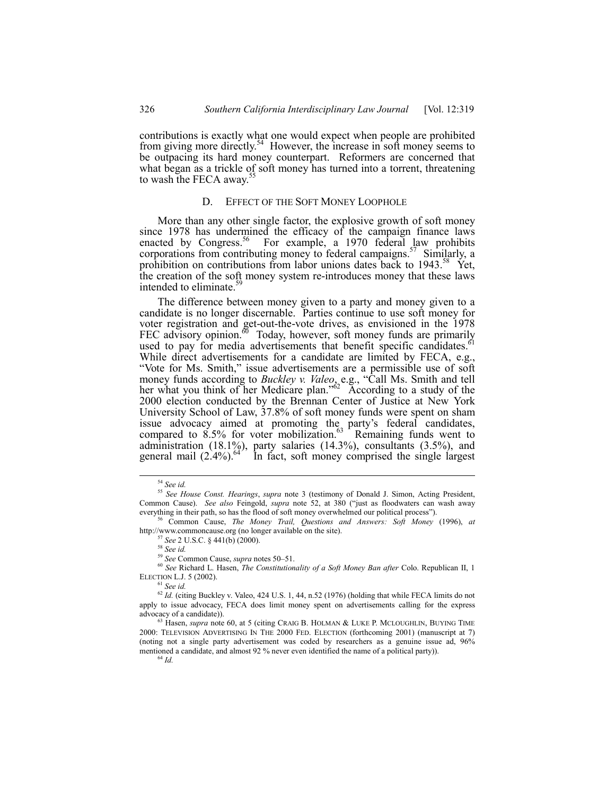contributions is exactly what one would expect when people are prohibited from giving more directly.<sup>54</sup> However, the increase in soft money seems to be outpacing its hard money counterpart. Reformers are concerned that what began as a trickle of soft money has turned into a torrent, threatening to wash the FECA away.<sup>5</sup>

## D. EFFECT OF THE SOFT MONEY LOOPHOLE

More than any other single factor, the explosive growth of soft money since 1978 has undermined the efficacy of the campaign finance laws enacted by Congress.<sup>56</sup> For example, a 1970 federal law prohibits corporations from contributing money to federal campaigns.<sup>57</sup> Similarly, a prohibition on contributions from labor unions dates back to 1943.<sup>58</sup> Yet, the creation of the soft money system re-introduces money that these laws intended to eliminate.

The difference between money given to a party and money given to a candidate is no longer discernable. Parties continue to use soft money for voter registration and get-out-the-vote drives, as envisioned in the 1978 FEC advisory opinion.<sup>60</sup> Today, however, soft money funds are primarily used to pay for media advertisements that benefit specific candidates.<sup>61</sup> While direct advertisements for a candidate are limited by FECA, e.g., "Vote for Ms. Smith," issue advertisements are a permissible use of soft money funds according to *Buckley v. Valeo*, e.g., "Call Ms. Smith and tell her what you think of her Medicare plan.<sup> $62$ </sup> According to a study of the 2000 election conducted by the Brennan Center of Justice at New York University School of Law, 37.8% of soft money funds were spent on sham issue advocacy aimed at promoting the party's federal candidates, compared to  $8.5\%$  for voter mobilization.<sup>63</sup> Remaining funds went to administration (18.1%), party salaries (14.3%), consultants (3.5%), and general mail  $(2.4\%)$ . <sup>647</sup> In fact, soft money comprised the single largest

 <sup>54</sup> *See id.*

<sup>55</sup> *See House Const. Hearings*, *supra* note 3 (testimony of Donald J. Simon, Acting President, Common Cause). *See also* Feingold, *supra* note 52, at 380 ("just as floodwaters can wash away everything in their path, so has the flood of soft money overwhelmed our political process").

<sup>56</sup> Common Cause, *The Money Trail, Questions and Answers: Soft Money* (1996), *at* http://www.commoncause.org (no longer available on the site).

<sup>57</sup> *See* 2 U.S.C. ß 441(b) (2000).

<sup>58</sup> *See id.*

<sup>59</sup> See Common Cause, *supra* notes 50-51.

<sup>60</sup> *See* Richard L. Hasen, *The Constitutionality of a Soft Money Ban after* Colo. Republican II, 1 ELECTION L.J. 5 (2002).

<sup>61</sup> *See id.*

<sup>62</sup> *Id.* (citing Buckley v. Valeo, 424 U.S. 1, 44, n.52 (1976) (holding that while FECA limits do not apply to issue advocacy, FECA does limit money spent on advertisements calling for the express advocacy of a candidate)).

<sup>63</sup> Hasen, *supra* note 60, at 5 (citing CRAIG B. HOLMAN & LUKE P. MCLOUGHLIN, BUYING TIME 2000: TELEVISION ADVERTISING IN THE 2000 FED. ELECTION (forthcoming 2001) (manuscript at 7) (noting not a single party advertisement was coded by researchers as a genuine issue ad, 96% mentioned a candidate, and almost 92 % never even identified the name of a political party)).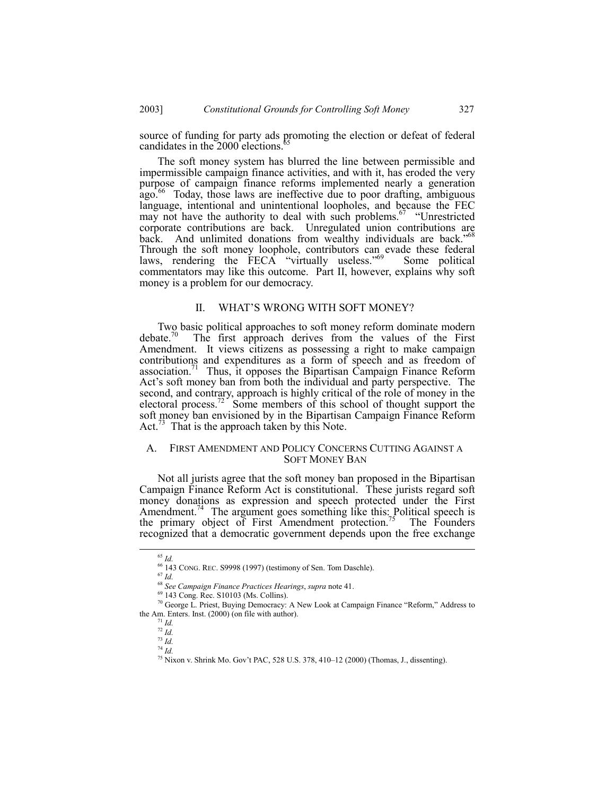source of funding for party ads promoting the election or defeat of federal candidates in the 2000 elections.

The soft money system has blurred the line between permissible and impermissible campaign finance activities, and with it, has eroded the very purpose of campaign finance reforms implemented nearly a generation  $a_{\rm g0}$ <sup>66</sup> Today, those laws are ineffective due to poor drafting, ambiguous language, intentional and unintentional loopholes, and because the FEC may not have the authority to deal with such problems.<sup>67</sup>  $\cdot$  "Unrestricted corporate contributions are back. Unregulated union contributions are back. And unlimited donations from wealthy individuals are back.<sup>768</sup> Through the soft money loophole, contributors can evade these federal laws, rendering the FECA "virtually useless."<sup>69</sup> Some political commentators may like this outcome. Part II, however, explains why soft money is a problem for our democracy.

## II. WHAT'S WRONG WITH SOFT MONEY?

Two basic political approaches to soft money reform dominate modern debate.<sup>70</sup> The first approach derives from the values of the First The first approach derives from the values of the First Amendment. It views citizens as possessing a right to make campaign contributions and expenditures as a form of speech and as freedom of association.<sup>71</sup> Thus, it opposes the Bipartisan Campaign Finance Reform Act's soft money ban from both the individual and party perspective. The second, and contrary, approach is highly critical of the role of money in the electoral process.<sup>72</sup> Some members of this school of thought support the soft money ban envisioned by in the Bipartisan Campaign Finance Reform Act.<sup>73</sup> That is the approach taken by this Note.

# A. FIRST AMENDMENT AND POLICY CONCERNS CUTTING AGAINST A SOFT MONEY BAN

Not all jurists agree that the soft money ban proposed in the Bipartisan Campaign Finance Reform Act is constitutional. These jurists regard soft money donations as expression and speech protected under the First Amendment.<sup>74</sup> The argument goes something like this: Political speech is the primary object of First Amendment protection.<sup>75</sup> The Founders recognized that a democratic government depends upon the free exchange

 <sup>65</sup> *Id.*

<sup>66 143</sup> CONG. REC. S9998 (1997) (testimony of Sen. Tom Daschle).

<sup>67</sup> *Id.*

<sup>68</sup> *See Campaign Finance Practices Hearings*, *supra* note 41.

<sup>69 143</sup> Cong. Rec. S10103 (Ms. Collins).

 $70$  George L. Priest, Buying Democracy: A New Look at Campaign Finance "Reform," Address to the Am. Enters. Inst. (2000) (on file with author).

 $17^{1}$  *Id.* 

<sup>72</sup> *Id.* <sup>73</sup> *Id.*

 $^{74}$  *Id.* 

 $^{75}$  Nixon v. Shrink Mo. Gov't PAC, 528 U.S. 378, 410-12 (2000) (Thomas, J., dissenting).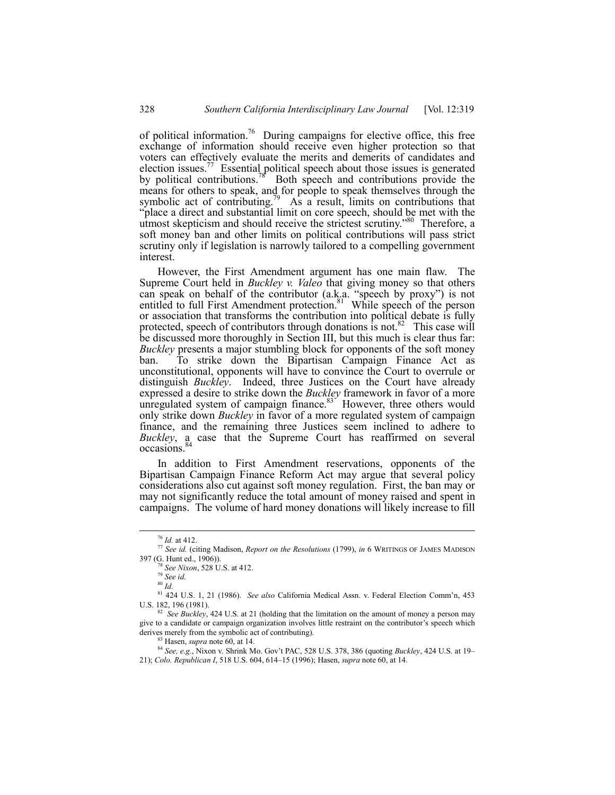of political information.<sup>76</sup> During campaigns for elective office, this free exchange of information should receive even higher protection so that voters can effectively evaluate the merits and demerits of candidates and election issues.<sup>77</sup> Essential political speech about those issues is generated by political contributions.<sup>78</sup> Both speech and contributions provide the means for others to speak, and for people to speak themselves through the symbolic act of contributing.<sup>79</sup> As a result, limits on contributions that ìplace a direct and substantial limit on core speech, should be met with the utmost skepticism and should receive the strictest scrutiny.<sup>80</sup> Therefore, a soft money ban and other limits on political contributions will pass strict scrutiny only if legislation is narrowly tailored to a compelling government interest.

However, the First Amendment argument has one main flaw. The Supreme Court held in *Buckley v. Valeo* that giving money so that others can speak on behalf of the contributor  $(a.k.a.$  "speech by proxy") is not entitled to full First Amendment protection.<sup>81</sup> While speech of the person or association that transforms the contribution into political debate is fully protected, speech of contributors through donations is not.<sup>82</sup> This case will be discussed more thoroughly in Section III, but this much is clear thus far: *Buckley* presents a major stumbling block for opponents of the soft money ban. To strike down the Bipartisan Campaign Finance Act as unconstitutional, opponents will have to convince the Court to overrule or distinguish *Buckley*. Indeed, three Justices on the Court have already expressed a desire to strike down the *Buckley* framework in favor of a more unregulated system of campaign finance.<sup>83</sup> However, three others would only strike down *Buckley* in favor of a more regulated system of campaign finance, and the remaining three Justices seem inclined to adhere to *Buckley*, a case that the Supreme Court has reaffirmed on several occasions.<sup>84</sup>

In addition to First Amendment reservations, opponents of the Bipartisan Campaign Finance Reform Act may argue that several policy considerations also cut against soft money regulation. First, the ban may or may not significantly reduce the total amount of money raised and spent in campaigns. The volume of hard money donations will likely increase to fill

 <sup>76</sup> *Id.* at 412.

<sup>77</sup> *See id.* (citing Madison, *Report on the Resolutions* (1799), *in* 6 WRITINGS OF JAMES MADISON 397 (G. Hunt ed., 1906)).

<sup>78</sup> *See Nixon*, 528 U.S. at 412.

<sup>79</sup> *See id.*

<sup>80</sup> *Id.*

<sup>81 424</sup> U.S. 1, 21 (1986).*See also* California Medical Assn. v. Federal Election Commín, 453 U.S. 182, 196 (1981).

<sup>&</sup>lt;sup>82</sup> See Buckley, 424 U.S. at 21 (holding that the limitation on the amount of money a person may give to a candidate or campaign organization involves little restraint on the contributor's speech which derives merely from the symbolic act of contributing).

<sup>83</sup> Hasen, *supra* note 60, at 14.

<sup>84</sup> See, e.g., Nixon v. Shrink Mo. Gov't PAC, 528 U.S. 378, 386 (quoting *Buckley*, 424 U.S. at 19– 21); *Colo. Republican I*, 518 U.S. 604, 614–15 (1996); Hasen, *supra* note 60, at 14.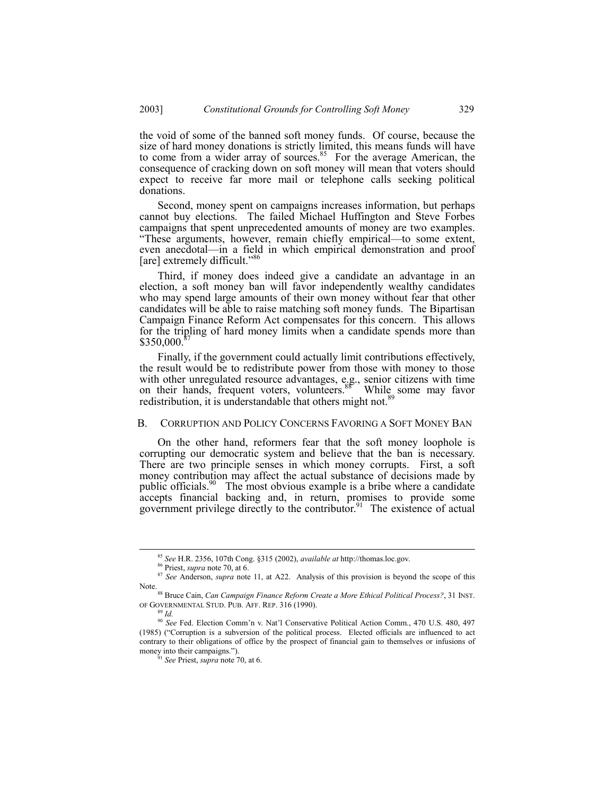the void of some of the banned soft money funds. Of course, because the size of hard money donations is strictly limited, this means funds will have to come from a wider array of sources.<sup>85</sup> For the average American, the consequence of cracking down on soft money will mean that voters should expect to receive far more mail or telephone calls seeking political donations.

Second, money spent on campaigns increases information, but perhaps cannot buy elections. The failed Michael Huffington and Steve Forbes campaigns that spent unprecedented amounts of money are two examples. "These arguments, however, remain chiefly empirical—to some extent, even anecdotal—in a field in which empirical demonstration and proof [are] extremely difficult.<sup> $\%$ </sup>

Third, if money does indeed give a candidate an advantage in an election, a soft money ban will favor independently wealthy candidates who may spend large amounts of their own money without fear that other candidates will be able to raise matching soft money funds. The Bipartisan Campaign Finance Reform Act compensates for this concern. This allows for the tripling of hard money limits when a candidate spends more than  $$350,000$ .

Finally, if the government could actually limit contributions effectively, the result would be to redistribute power from those with money to those with other unregulated resource advantages, e.g., senior citizens with time on their hands, frequent voters, volunteers.<sup>88</sup> While some may favor redistribution, it is understandable that others might not.<sup>85</sup>

## B. CORRUPTION AND POLICY CONCERNS FAVORING A SOFT MONEY BAN

On the other hand, reformers fear that the soft money loophole is corrupting our democratic system and believe that the ban is necessary. There are two principle senses in which money corrupts. First, a soft money contribution may affect the actual substance of decisions made by public officials.<sup>90</sup> The most obvious example is a bribe where a candidate accepts financial backing and, in return, promises to provide some government privilege directly to the contributor.<sup>91</sup> The existence of actual

 <sup>85</sup> *See* H.R. 2356, 107th Cong. ß315 (2002), *available at* http://thomas.loc.gov.

<sup>86</sup> Priest, *supra* note 70, at 6.

<sup>&</sup>lt;sup>87</sup> See Anderson, *supra* note 11, at A22. Analysis of this provision is beyond the scope of this

Note.88 Bruce Cain, *Can Campaign Finance Reform Create a More Ethical Political Process?*, 31 INST. OF GOVERNMENTAL STUD. PUB. AFF. REP. 316 (1990).

<sup>89</sup> *Id.*

<sup>&</sup>lt;sup>90</sup> See Fed. Election Comm'n v. Nat'l Conservative Political Action Comm., 470 U.S. 480, 497 (1985) ("Corruption is a subversion of the political process. Elected officials are influenced to act contrary to their obligations of office by the prospect of financial gain to themselves or infusions of money into their campaigns.").

<sup>91</sup> *See* Priest, *supra* note 70, at 6.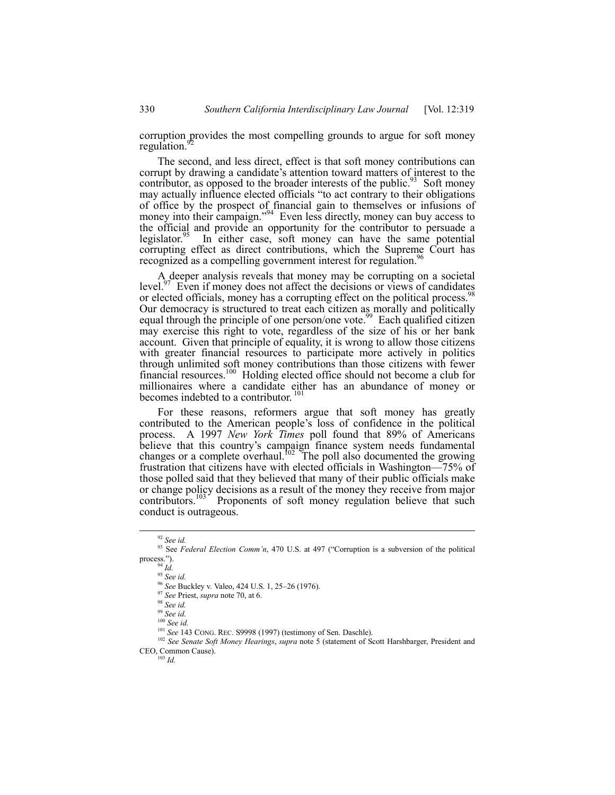corruption provides the most compelling grounds to argue for soft money regulation.<sup>9</sup>

The second, and less direct, effect is that soft money contributions can corrupt by drawing a candidate's attention toward matters of interest to the contributor, as opposed to the broader interests of the public.<sup>93</sup> Soft money may actually influence elected officials "to act contrary to their obligations" of office by the prospect of financial gain to themselves or infusions of money into their campaign."<sup>94</sup> Even less directly, money can buy access to the official and provide an opportunity for the contributor to persuade a legislator.<sup>55</sup> In either case, soft money can have the same potential In either case, soft money can have the same potential corrupting effect as direct contributions, which the Supreme Court has recognized as a compelling government interest for regulation.<sup>96</sup>

A deeper analysis reveals that money may be corrupting on a societal level. $97$  Even if money does not affect the decisions or views of candidates or elected officials, money has a corrupting effect on the political process.<sup>9</sup> Our democracy is structured to treat each citizen as morally and politically equal through the principle of one person/one vote.<sup>99</sup> Each qualified citizen may exercise this right to vote, regardless of the size of his or her bank account. Given that principle of equality, it is wrong to allow those citizens with greater financial resources to participate more actively in politics through unlimited soft money contributions than those citizens with fewer financial resources.<sup>100</sup> Holding elected office should not become a club for millionaires where a candidate either has an abundance of money or becomes indebted to a contributor.<sup>101</sup>

For these reasons, reformers argue that soft money has greatly contributed to the American people's loss of confidence in the political process. A 1997 *New York Times* poll found that 89% of Americans believe that this country's campaign finance system needs fundamental changes or a complete overhaul.<sup>102</sup> The poll also documented the growing frustration that citizens have with elected officials in Washington—75% of those polled said that they believed that many of their public officials make or change policy decisions as a result of the money they receive from major contributors.<sup>103</sup> Proponents of soft money regulation believe that such conduct is outrageous.

 <sup>92</sup> *See id.*

<sup>&</sup>lt;sup>93</sup> See *Federal Election Comm'n*, 470 U.S. at 497 ("Corruption is a subversion of the political process.").

<sup>94</sup> *Id.*

<sup>95</sup> *See id.*

<sup>&</sup>lt;sup>96</sup> *See* Buckley v. Valeo, 424 U.S. 1, 25–26 (1976).

<sup>97</sup> *See* Priest, *supra* note 70, at 6.

<sup>98</sup> *See id.*

<sup>99</sup> *See id.*

<sup>100</sup> *See id.*

<sup>101</sup> *See* 143 CONG. REC. S9998 (1997) (testimony of Sen. Daschle).

<sup>102</sup> *See Senate Soft Money Hearings*, *supra* note 5 (statement of Scott Harshbarger, President and CEO, Common Cause).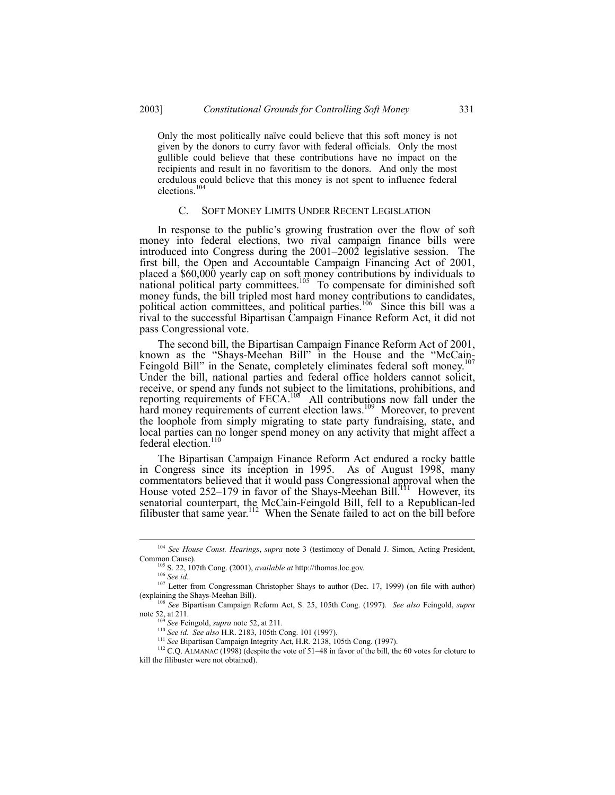Only the most politically naïve could believe that this soft money is not given by the donors to curry favor with federal officials. Only the most gullible could believe that these contributions have no impact on the recipients and result in no favoritism to the donors. And only the most credulous could believe that this money is not spent to influence federal elections.<sup>104</sup>

# C. SOFT MONEY LIMITS UNDER RECENT LEGISLATION

In response to the public's growing frustration over the flow of soft money into federal elections, two rival campaign finance bills were introduced into Congress during the  $2001-2002$  legislative session. The first bill, the Open and Accountable Campaign Financing Act of 2001, placed a \$60,000 yearly cap on soft money contributions by individuals to national political party committees.<sup>105</sup> To compensate for diminished soft money funds, the bill tripled most hard money contributions to candidates, political action committees, and political parties.<sup>106</sup> Since this bill was a rival to the successful Bipartisan Campaign Finance Reform Act, it did not pass Congressional vote.

The second bill, the Bipartisan Campaign Finance Reform Act of 2001, known as the "Shays-Meehan Bill" in the House and the "McCain-Feingold Bill" in the Senate, completely eliminates federal soft money.<sup>107</sup> Under the bill, national parties and federal office holders cannot solicit, receive, or spend any funds not subject to the limitations, prohibitions, and reporting requirements of FECA.<sup>108</sup> All contributions now fall under the hard money requirements of current election laws.<sup>109</sup> Moreover, to prevent the loophole from simply migrating to state party fundraising, state, and local parties can no longer spend money on any activity that might affect a federal election.<sup>110</sup>

The Bipartisan Campaign Finance Reform Act endured a rocky battle in Congress since its inception in 1995. As of August 1998, many commentators believed that it would pass Congressional approval when the House voted 252–179 in favor of the Shays-Meehan Bill.<sup>111</sup> However, its senatorial counterpart, the McCain-Feingold Bill, fell to a Republican-led filibuster that same year.<sup>112</sup> When the Senate failed to act on the bill before

<sup>106</sup> *See id.*

 <sup>104</sup> *See House Const. Hearings*, *supra* note 3 (testimony of Donald J. Simon, Acting President, Common Cause).

<sup>105</sup> S. 22, 107th Cong. (2001), *available at* http://thomas.loc.gov.

<sup>&</sup>lt;sup>107</sup> Letter from Congressman Christopher Shays to author (Dec. 17, 1999) (on file with author) (explaining the Shays-Meehan Bill).

<sup>108</sup> *See* Bipartisan Campaign Reform Act, S. 25, 105th Cong. (1997). *See also* Feingold, *supra* note 52, at 211.

<sup>109</sup> *See* Feingold, *supra* note 52, at 211.

<sup>110</sup> *See id. See also* H.R. 2183, 105th Cong. 101 (1997).

<sup>111</sup> *See* Bipartisan Campaign Integrity Act, H.R. 2138, 105th Cong. (1997).

 $112$  C.Q. ALMANAC (1998) (despite the vote of 51–48 in favor of the bill, the 60 votes for cloture to kill the filibuster were not obtained).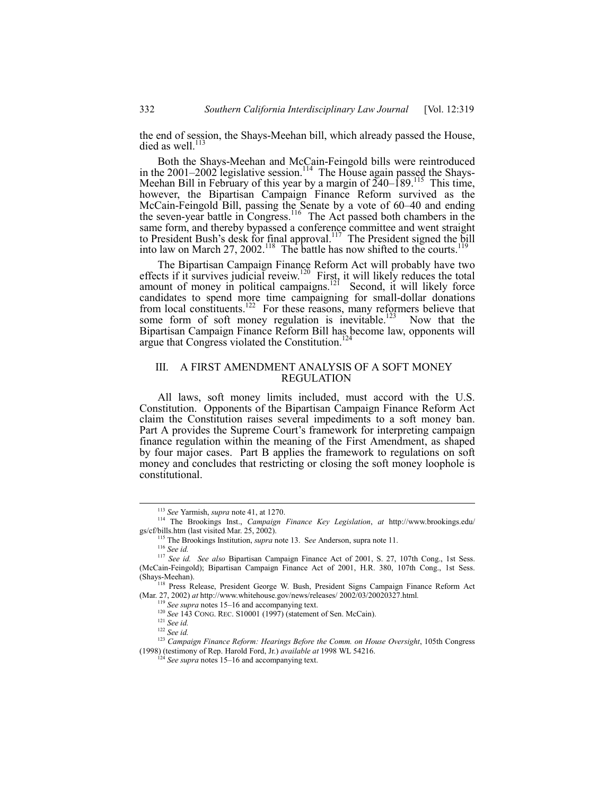the end of session, the Shays-Meehan bill, which already passed the House, died as well.<sup>11</sup>

Both the Shays-Meehan and McCain-Feingold bills were reintroduced in the 2001–2002 legislative session.<sup>114</sup> The House again passed the Shays-Meehan Bill in February of this year by a margin of  $\tilde{2}40-189$ .<sup>115</sup> This time, however, the Bipartisan Campaign Finance Reform survived as the McCain-Feingold Bill, passing the Senate by a vote of 60–40 and ending the seven-year battle in Congress.<sup>116</sup> The Act passed both chambers in the same form, and thereby bypassed a conference committee and went straight to President Bush's desk for final approval.<sup>117</sup> The President signed the bill into law on March 27, 2002.<sup>118</sup> The battle has now shifted to the courts.<sup>119</sup>

The Bipartisan Campaign Finance Reform Act will probably have two effects if it survives judicial reveiw.<sup>120</sup> First, it will likely reduces the total amount of money in political campaigns.<sup>121</sup> Second, it will likely force candidates to spend more time campaigning for small-dollar donations from local constituents.<sup>122</sup> For these reasons, many reformers believe that some form of soft money regulation is inevitable.<sup>123</sup> Now that the Bipartisan Campaign Finance Reform Bill has become law, opponents will argue that Congress violated the Constitution.<sup>124</sup>

# III. A FIRST AMENDMENT ANALYSIS OF A SOFT MONEY REGULATION

All laws, soft money limits included, must accord with the U.S. Constitution. Opponents of the Bipartisan Campaign Finance Reform Act claim the Constitution raises several impediments to a soft money ban. Part A provides the Supreme Court's framework for interpreting campaign finance regulation within the meaning of the First Amendment, as shaped by four major cases. Part B applies the framework to regulations on soft money and concludes that restricting or closing the soft money loophole is constitutional.

 <sup>113</sup> *See* Yarmish, *supra* note 41, at 1270.

<sup>114</sup> The Brookings Inst., *Campaign Finance Key Legislation*, *at* http://www.brookings.edu/ gs/cf/bills.htm (last visited Mar. 25, 2002).

The Brookings Institution, *supra* note 13. See Anderson, supra note 11.

<sup>116</sup> *See id.*

<sup>117</sup> *See id. See also* Bipartisan Campaign Finance Act of 2001, S. 27, 107th Cong., 1st Sess. (McCain-Feingold); Bipartisan Campaign Finance Act of 2001, H.R. 380, 107th Cong., 1st Sess. (Shays-Meehan).

<sup>&</sup>lt;sup>118</sup> Press Release, President George W. Bush, President Signs Campaign Finance Reform Act (Mar. 27, 2002) *at* http://www.whitehouse.gov/news/releases/ 2002/03/20020327.html*.*

See supra notes 15–16 and accompanying text.

<sup>120</sup> *See 143 CONG. REC. S10001* (1997) (statement of Sen. McCain).

<sup>121</sup> *See id.*

<sup>122</sup> *See id.*

<sup>123</sup> *Campaign Finance Reform: Hearings Before the Comm. on House Oversight*, 105th Congress (1998) (testimony of Rep. Harold Ford, Jr.) *available at* 1998 WL 54216.

 $124$  *See supra* notes 15–16 and accompanying text.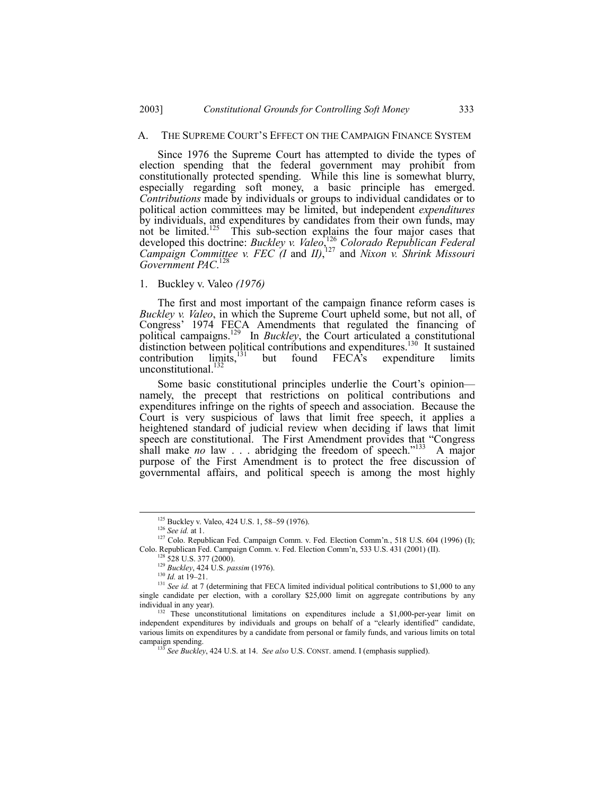#### A. THE SUPREME COURT'S EFFECT ON THE CAMPAIGN FINANCE SYSTEM

Since 1976 the Supreme Court has attempted to divide the types of election spending that the federal government may prohibit from constitutionally protected spending. While this line is somewhat blurry, especially regarding soft money, a basic principle has emerged. *Contributions* made by individuals or groups to individual candidates or to political action committees may be limited, but independent *expenditures* by individuals, and expenditures by candidates from their own funds, may not be limited.<sup>125</sup> This sub-section explains the four major cases that developed this doctrine: *Buckley v. Valeo*, <sup>126</sup> *Colorado Republican Federal Campaign Committee v. FEC (I* and *II)*, 127 and *Nixon v. Shrink Missouri* Government PAC.<sup>128</sup>

## 1. Buckley v. Valeo *(1976)*

The first and most important of the campaign finance reform cases is *Buckley v. Valeo*, in which the Supreme Court upheld some, but not all, of Congress' 1974 FECA Amendments that regulated the financing of political campaigns.129 In *Buckley*, the Court articulated a constitutional distinction between political contributions and expenditures.<sup>130</sup> It sustained contribution  $\lim_{x\to 0}$  is but found FECA's expenditure limits unconstitutional.<sup>132</sup>

Some basic constitutional principles underlie the Court's opinion namely, the precept that restrictions on political contributions and expenditures infringe on the rights of speech and association. Because the Court is very suspicious of laws that limit free speech, it applies a heightened standard of judicial review when deciding if laws that limit speech are constitutional. The First Amendment provides that "Congress shall make *no* law  $\ldots$  abridging the freedom of speech.<sup>7133</sup> A major purpose of the First Amendment is to protect the free discussion of governmental affairs, and political speech is among the most highly

<sup>&</sup>lt;sup>125</sup> Buckley v. Valeo, 424 U.S. 1, 58-59 (1976).

<sup>126</sup> *See id.* at 1.

<sup>&</sup>lt;sup>127</sup> Colo. Republican Fed. Campaign Comm. v. Fed. Election Comm'n., 518 U.S. 604 (1996) (I); Colo. Republican Fed. Campaign Comm. v. Fed. Election Commín, 533 U.S. 431 (2001) (II).

<sup>128 528</sup> U.S. 377 (2000).

<sup>129</sup> *Buckley*, 424 U.S. *passim* (1976).

 $130$  *Id.* at 19–21.

<sup>&</sup>lt;sup>131</sup> *See id.* at 7 (determining that FECA limited individual political contributions to \$1,000 to any single candidate per election, with a corollary \$25,000 limit on aggregate contributions by any individual in any year).

<sup>&</sup>lt;sup>132</sup> These unconstitutional limitations on expenditures include a \$1,000-per-year limit on independent expenditures by individuals and groups on behalf of a "clearly identified" candidate, various limits on expenditures by a candidate from personal or family funds, and various limits on total campaign spending.

<sup>133</sup> *See Buckley*, 424 U.S. at 14. *See also* U.S. CONST. amend. I (emphasis supplied).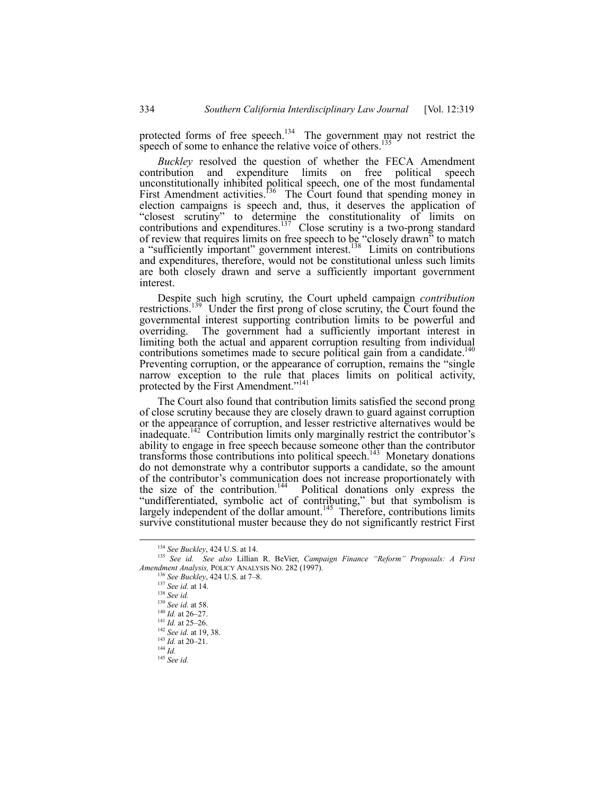protected forms of free speech.<sup>134</sup> The government may not restrict the speech of some to enhance the relative voice of others.<sup>13</sup>

*Buckley* resolved the question of whether the FECA Amendment contribution and expenditure limits on free political speech unconstitutionally inhibited political speech, one of the most fundamental First Amendment activities.<sup>136</sup> The Court found that spending money in election campaigns is speech and, thus, it deserves the application of ìclosest scrutinyî to determine the constitutionality of limits on contributions and expenditures.<sup>137</sup> Close scrutiny is a two-prong standard of review that requires limits on free speech to be "closely drawn" to match a "sufficiently important" government interest.<sup>138</sup> Limits on contributions and expenditures, therefore, would not be constitutional unless such limits are both closely drawn and serve a sufficiently important government interest.

Despite such high scrutiny, the Court upheld campaign *contribution* restrictions.<sup>139</sup> Under the first prong of close scrutiny, the Court found the governmental interest supporting contribution limits to be powerful and overriding. The government had a sufficiently important interest in limiting both the actual and apparent corruption resulting from individual contributions sometimes made to secure political gain from a candidate.<sup>140</sup> Preventing corruption, or the appearance of corruption, remains the "single" narrow exception to the rule that places limits on political activity, protected by the First Amendment."<sup>141</sup>

The Court also found that contribution limits satisfied the second prong of close scrutiny because they are closely drawn to guard against corruption or the appearance of corruption, and lesser restrictive alternatives would be inadequate.<sup>142</sup> Contribution limits only marginally restrict the contributor's ability to engage in free speech because someone other than the contributor transforms those contributions into political speech.<sup>143</sup> Monetary donations do not demonstrate why a contributor supports a candidate, so the amount of the contributor's communication does not increase proportionately with the size of the contribution.<sup>144</sup> Political donations only express the Political donations only express the "undifferentiated, symbolic act of contributing," but that symbolism is largely independent of the dollar amount.<sup>145</sup> Therefore, contributions limits survive constitutional muster because they do not significantly restrict First

 <sup>134</sup> *See Buckley*, 424 U.S. at 14.

<sup>135</sup> See id. See also Lillian R. BeVier, *Campaign Finance "Reform" Proposals: A First Amendment Analysis,* POLICY ANALYSIS NO. 282 (1997).

<sup>&</sup>lt;sup>136</sup> See Buckley, 424 U.S. at 7-8. <sup>137</sup> *See id.* at 14. <sup>138</sup> *See id.* <sup>139</sup> *See id.* at 58.  $^{140}$  *Id.* at 26–27.  $141$  *Id.* at 25–26. <sup>142</sup> *See id.* at 19, 38.  $\frac{143}{1}$ *Id.* at 20–21. <sup>144</sup> *Id.*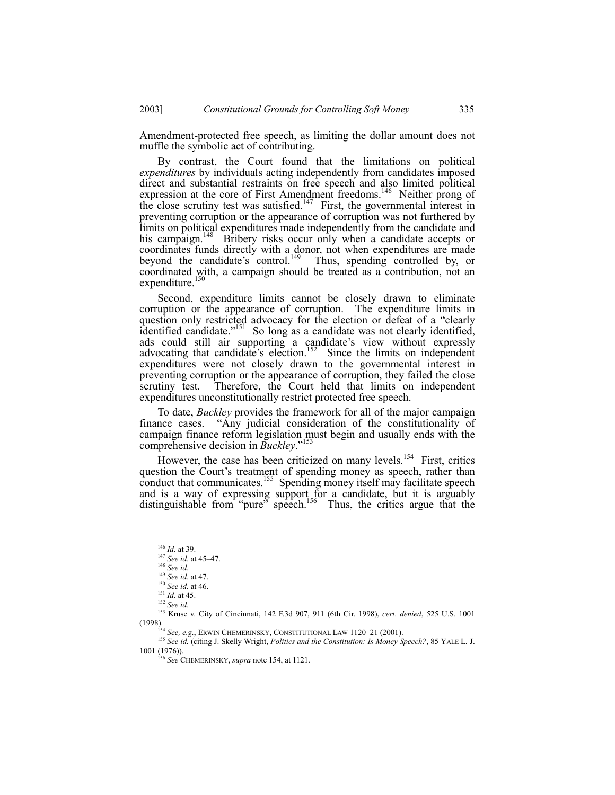Amendment-protected free speech, as limiting the dollar amount does not muffle the symbolic act of contributing.

By contrast, the Court found that the limitations on political *expenditures* by individuals acting independently from candidates imposed direct and substantial restraints on free speech and also limited political expression at the core of First Amendment freedoms.<sup>146</sup> Neither prong of the close scrutiny test was satisfied.<sup>147</sup> First, the governmental interest in preventing corruption or the appearance of corruption was not furthered by limits on political expenditures made independently from the candidate and his campaign.<sup>148</sup> Bribery risks occur only when a candidate accepts or coordinates funds directly with a donor, not when expenditures are made beyond the candidate's control.<sup>149</sup> Thus, spending controlled by, or coordinated with, a campaign should be treated as a contribution, not an expenditure.<sup>150</sup>

Second, expenditure limits cannot be closely drawn to eliminate corruption or the appearance of corruption. The expenditure limits in question only restricted advocacy for the election or defeat of a "clearly identified candidate.<sup>"151</sup> So long as a candidate was not clearly identified, ads could still air supporting a candidate's view without expressly advocating that candidate's election.<sup>152</sup> Since the limits on independent expenditures were not closely drawn to the governmental interest in preventing corruption or the appearance of corruption, they failed the close scrutiny test. Therefore, the Court held that limits on independent expenditures unconstitutionally restrict protected free speech.

To date, *Buckley* provides the framework for all of the major campaign finance cases. "Any judicial consideration of the constitutionality of campaign finance reform legislation must begin and usually ends with the comprehensive decision in *Buckley*.<sup>7153</sup>

However, the case has been criticized on many levels.<sup>154</sup> First, critics question the Court's treatment of spending money as speech, rather than conduct that communicates.<sup>155</sup> Spending money itself may facilitate speech and is a way of expressing support for a candidate, but it is arguably distinguishable from "pure" speech.<sup>156</sup> Thus, the critics argue that the

 <sup>146</sup> *Id.* at 39.

<sup>&</sup>lt;sup>147</sup> *See id.* at 45–47.

<sup>148</sup> *See id.*

<sup>149</sup> *See id.* at 47. <sup>150</sup> *See id.* at 46.

<sup>151</sup> *Id.* at 45.

<sup>152</sup> *See id.*

<sup>153</sup> Kruse v. City of Cincinnati, 142 F.3d 907, 911 (6th Cir. 1998), *cert. denied*, 525 U.S. 1001 (1998).

<sup>154</sup> See, e.g., ERWIN CHEMERINSKY, CONSTITUTIONAL LAW 1120-21 (2001).

<sup>155</sup> *See id.* (citing J. Skelly Wright, *Politics and the Constitution: Is Money Speech?*, 85 YALE L. J. 1001 (1976)).

<sup>156</sup> *See* CHEMERINSKY, *supra* note 154, at 1121.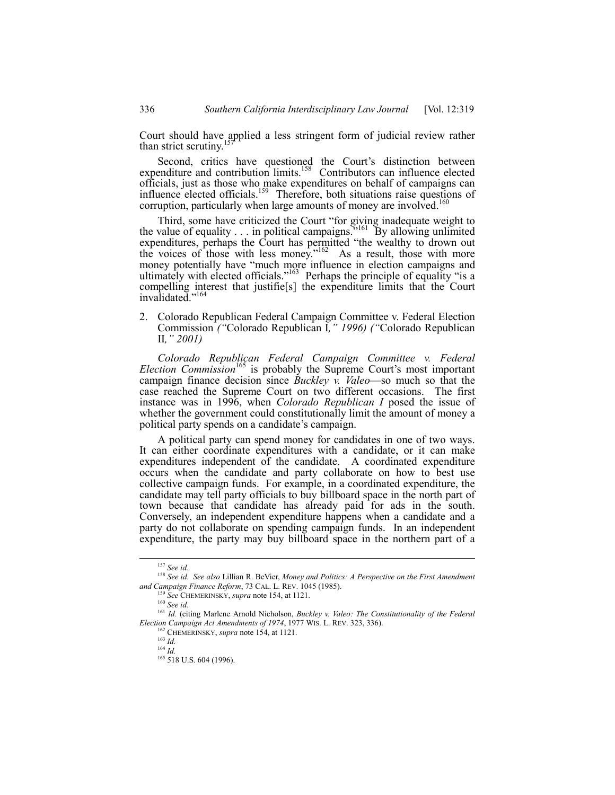Court should have applied a less stringent form of judicial review rather than strict scrutiny.<sup>1</sup>

Second, critics have questioned the Court's distinction between expenditure and contribution limits.<sup>158</sup> Contributors can influence elected officials, just as those who make expenditures on behalf of campaigns can influence elected officials.<sup>159</sup> Therefore, both situations raise questions of corruption, particularly when large amounts of money are involved.<sup>160</sup>

Third, some have criticized the Court "for giving inadequate weight to the value of equality  $\ldots$  in political campaigns.<sup>7161</sup> By allowing unlimited expenditures, perhaps the Court has permitted "the wealthy to drown out the voices of those with less money." $162$  As a result, those with more money potentially have "much more influence in election campaigns and ultimately with elected officials.<sup> $163$ </sup> Perhaps the principle of equality "is a compelling interest that justifie[s] the expenditure limits that the Court invalidated."<sup>164</sup>

2. Colorado Republican Federal Campaign Committee v. Federal Election Commission *(*"Colorado Republican I, " 1996) *(*"Colorado Republican II*,î 2001)*

*Colorado Republican Federal Campaign Committee v. Federal Election Commission*<sup>165</sup> is probably the Supreme Court's most important campaign finance decision since *Buckley v. Valeo*—so much so that the case reached the Supreme Court on two different occasions. The first instance was in 1996, when *Colorado Republican I* posed the issue of whether the government could constitutionally limit the amount of money a political party spends on a candidate's campaign.

A political party can spend money for candidates in one of two ways. It can either coordinate expenditures with a candidate, or it can make expenditures independent of the candidate. A coordinated expenditure occurs when the candidate and party collaborate on how to best use collective campaign funds. For example, in a coordinated expenditure, the candidate may tell party officials to buy billboard space in the north part of town because that candidate has already paid for ads in the south. Conversely, an independent expenditure happens when a candidate and a party do not collaborate on spending campaign funds. In an independent expenditure, the party may buy billboard space in the northern part of a

 <sup>157</sup> *See id.*

<sup>158</sup> *See id. See also* Lillian R. BeVier, *Money and Politics: A Perspective on the First Amendment and Campaign Finance Reform*, 73 CAL. L. REV. 1045 (1985).

<sup>159</sup> *See* CHEMERINSKY, *supra* note 154, at 1121.

<sup>160</sup> *See id.*

<sup>161</sup> *Id.* (citing Marlene Arnold Nicholson, *Buckley v. Valeo: The Constitutionality of the Federal Election Campaign Act Amendments of 1974*, 1977 WIS. L. REV. 323, 336).

<sup>162</sup> CHEMERINSKY, *supra* note 154, at 1121.

<sup>163</sup> *Id.*

<sup>164</sup> *Id.*

<sup>165 518</sup> U.S. 604 (1996).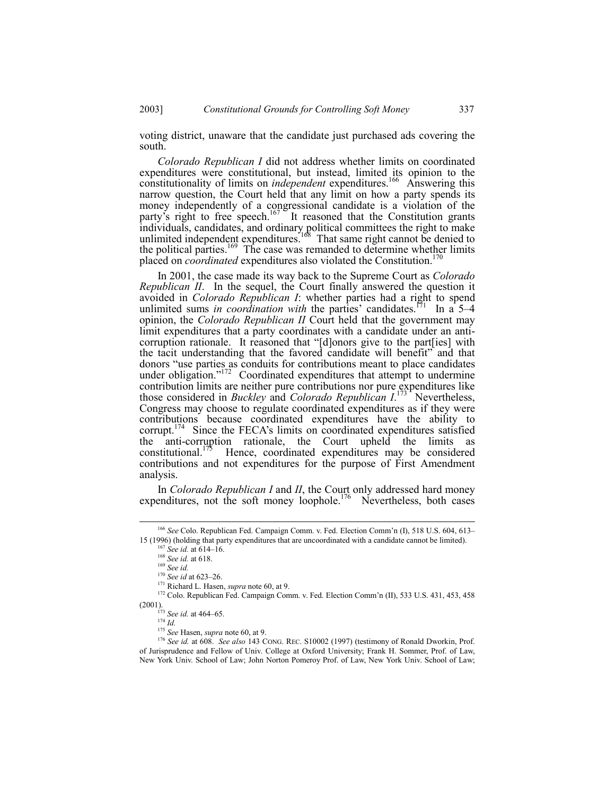voting district, unaware that the candidate just purchased ads covering the south.

*Colorado Republican I* did not address whether limits on coordinated expenditures were constitutional, but instead, limited its opinion to the constitutionality of limits on *independent* expenditures.<sup>166</sup> Answering this narrow question, the Court held that any limit on how a party spends its money independently of a congressional candidate is a violation of the party's right to free speech.<sup>167</sup> It reasoned that the Constitution grants individuals, candidates, and ordinary political committees the right to make unlimited independent expenditures.<sup>168</sup> That same right cannot be denied to the political parties.<sup>169</sup> The case was remanded to determine whether limits placed on *coordinated* expenditures also violated the Constitution.<sup>1</sup>

In 2001, the case made its way back to the Supreme Court as *Colorado Republican II*. In the sequel, the Court finally answered the question it avoided in *Colorado Republican I*: whether parties had a right to spend unlimited sums *in coordination with* the parties' candidates.<sup>171</sup> In a 5–4 opinion, the *Colorado Republican II* Court held that the government may limit expenditures that a party coordinates with a candidate under an anticorruption rationale. It reasoned that "[d]onors give to the part[ies] with the tacit understanding that the favored candidate will benefit" and that donors "use parties as conduits for contributions meant to place candidates under obligation.<sup>7172</sup> Coordinated expenditures that attempt to undermine contribution limits are neither pure contributions nor pure expenditures like those considered in *Buckley* and *Colorado Republican*  $I^{173}$ <sup>1</sup> Nevertheless, Congress may choose to regulate coordinated expenditures as if they were contributions because coordinated expenditures have the ability to corrupt.<sup>174</sup> Since the FECA's limits on coordinated expenditures satisfied the anti-corruption rationale, the Court upheld the limits as the anti-corruption rationale, the Court upheld the limits as constitutional. Hence coordinated expenditures may be considered Hence, coordinated expenditures may be considered contributions and not expenditures for the purpose of First Amendment analysis.

In *Colorado Republican I* and *II*, the Court only addressed hard money expenditures, not the soft money loophole.<sup>176</sup> Nevertheless, both cases

<sup>&</sup>lt;sup>166</sup> See Colo. Republican Fed. Campaign Comm. v. Fed. Election Comm'n (I), 518 U.S. 604, 613-15 (1996) (holding that party expenditures that are uncoordinated with a candidate cannot be limited).

<sup>&</sup>lt;sup>167</sup> *See id.* at 614–16.

<sup>168</sup> *See id.* at 618.

<sup>169</sup> *See id.*

<sup>&</sup>lt;sup>170</sup> *See id* at 623–26.

<sup>171</sup> Richard L. Hasen, *supra* note 60, at 9.

<sup>&</sup>lt;sup>172</sup> Colo. Republican Fed. Campaign Comm. v. Fed. Election Comm'n (II), 533 U.S. 431, 453, 458 (2001).

<sup>&</sup>lt;sup>173</sup> *See id.* at 464–65.

<sup>174</sup> *Id.*

<sup>175</sup> *See* Hasen, *supra* note 60, at 9.

<sup>176</sup> *See id.* at 608. *See also* 143 CONG. REC. S10002 (1997) (testimony of Ronald Dworkin, Prof. of Jurisprudence and Fellow of Univ. College at Oxford University; Frank H. Sommer, Prof. of Law, New York Univ. School of Law; John Norton Pomeroy Prof. of Law, New York Univ. School of Law;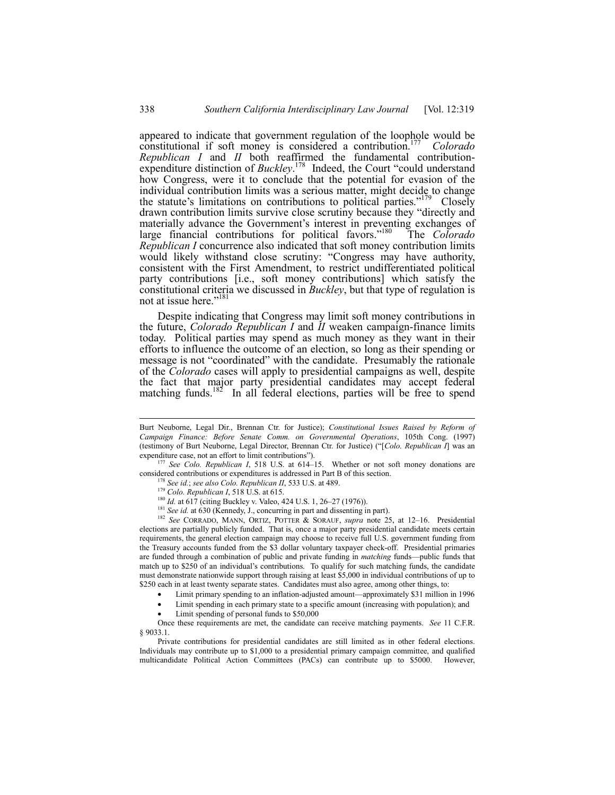appeared to indicate that government regulation of the loophole would be constitutional if soft money is considered a contribution.177 *Colorado Republican I* and *II* both reaffirmed the fundamental contributionexpenditure distinction of *Buckley*.<sup>178</sup> Indeed, the Court "could understand how Congress, were it to conclude that the potential for evasion of the individual contribution limits was a serious matter, might decide to change the statute's limitations on contributions to political parties.<sup> $179$ </sup> Closely drawn contribution limits survive close scrutiny because they "directly and materially advance the Government's interest in preventing exchanges of large financial contributions for political favors.<sup>7180</sup> The *Colorado Republican I* concurrence also indicated that soft money contribution limits would likely withstand close scrutiny: "Congress may have authority, consistent with the First Amendment, to restrict undifferentiated political party contributions [i.e., soft money contributions] which satisfy the constitutional criteria we discussed in *Buckley*, but that type of regulation is not at issue here."<sup>181</sup>

Despite indicating that Congress may limit soft money contributions in the future, *Colorado Republican I* and *II* weaken campaign-finance limits today. Political parties may spend as much money as they want in their efforts to influence the outcome of an election, so long as their spending or message is not "coordinated" with the candidate. Presumably the rationale of the *Colorado* cases will apply to presidential campaigns as well, despite the fact that major party presidential candidates may accept federal matching funds.<sup>182</sup> In all federal elections, parties will be free to spend

Burt Neuborne, Legal Dir., Brennan Ctr. for Justice); *Constitutional Issues Raised by Reform of Campaign Finance: Before Senate Comm. on Governmental Operations*, 105th Cong. (1997) (testimony of Burt Neuborne, Legal Director, Brennan Ctr. for Justice) ("[*Colo. Republican I*] was an expenditure case, not an effort to limit contributions").

<sup>&</sup>lt;sup>177</sup> See Colo. Republican I, 518 U.S. at 614-15. Whether or not soft money donations are considered contributions or expenditures is addressed in Part B of this section.

<sup>178</sup> *See id.*; *see also Colo. Republican II*, 533 U.S. at 489.

<sup>179</sup> *Colo. Republican I*, 518 U.S. at 615.

<sup>&</sup>lt;sup>180</sup> *Id.* at 617 (citing Buckley v. Valeo, 424 U.S. 1, 26–27 (1976)).

<sup>&</sup>lt;sup>181</sup> *See id.* at 630 (Kennedy, J., concurring in part and dissenting in part).

<sup>&</sup>lt;sup>182</sup> See CORRADO, MANN, ORTIZ, POTTER & SORAUF, *supra* note 25, at 12-16. Presidential elections are partially publicly funded. That is, once a major party presidential candidate meets certain requirements, the general election campaign may choose to receive full U.S. government funding from the Treasury accounts funded from the \$3 dollar voluntary taxpayer check-off. Presidential primaries are funded through a combination of public and private funding in *matching* funds—public funds that match up to \$250 of an individual's contributions. To qualify for such matching funds, the candidate must demonstrate nationwide support through raising at least \$5,000 in individual contributions of up to \$250 each in at least twenty separate states. Candidates must also agree, among other things, to:

Limit primary spending to an inflation-adjusted amount—approximately \$31 million in 1996

<sup>•</sup> Limit spending in each primary state to a specific amount (increasing with population); and

Limit spending of personal funds to \$50,000

Once these requirements are met, the candidate can receive matching payments. *See* 11 C.F.R. ß 9033.1.

Private contributions for presidential candidates are still limited as in other federal elections. Individuals may contribute up to \$1,000 to a presidential primary campaign committee, and qualified multicandidate Political Action Committees (PACs) can contribute up to \$5000. However,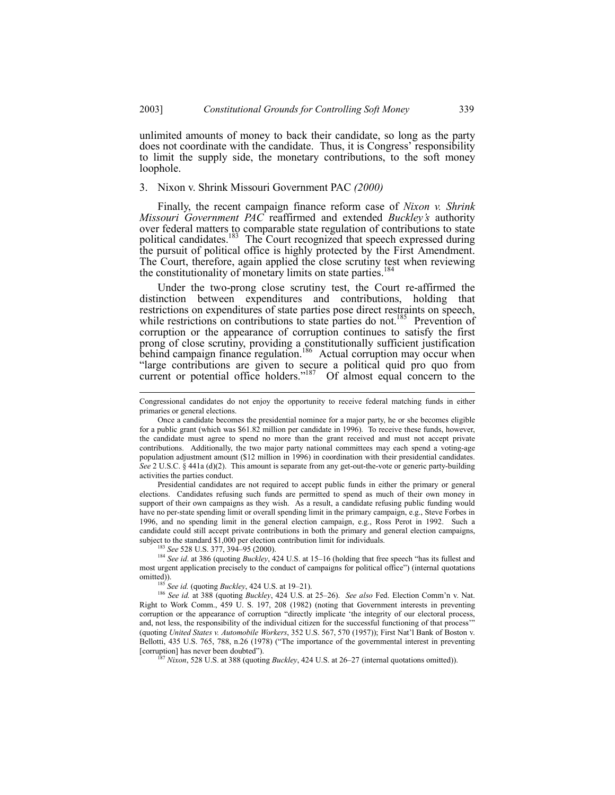unlimited amounts of money to back their candidate, so long as the party does not coordinate with the candidate. Thus, it is Congress' responsibility to limit the supply side, the monetary contributions, to the soft money loophole.

## 3. Nixon v. Shrink Missouri Government PAC *(2000)*

Finally, the recent campaign finance reform case of *Nixon v. Shrink Missouri Government PAC* reaffirmed and extended *Buckleyís* authority over federal matters to comparable state regulation of contributions to state political candidates.<sup>183</sup> The Court recognized that speech expressed during the pursuit of political office is highly protected by the First Amendment. The Court, therefore, again applied the close scrutiny test when reviewing the constitutionality of monetary limits on state parties.

Under the two-prong close scrutiny test, the Court re-affirmed the distinction between expenditures and contributions, holding that restrictions on expenditures of state parties pose direct restraints on speech, while restrictions on contributions to state parties do not.<sup>185</sup> Prevention of corruption or the appearance of corruption continues to satisfy the first prong of close scrutiny, providing a constitutionally sufficient justification behind campaign finance regulation.<sup>186</sup> Actual corruption may occur when ìlarge contributions are given to secure a political quid pro quo from current or potential office holders.<sup> $187$ </sup> Of almost equal concern to the

Presidential candidates are not required to accept public funds in either the primary or general elections. Candidates refusing such funds are permitted to spend as much of their own money in support of their own campaigns as they wish. As a result, a candidate refusing public funding would have no per-state spending limit or overall spending limit in the primary campaign, e.g., Steve Forbes in 1996, and no spending limit in the general election campaign, e.g., Ross Perot in 1992. Such a candidate could still accept private contributions in both the primary and general election campaigns, subject to the standard \$1,000 per election contribution limit for individuals.

<sup>183</sup> *See* 528 U.S. 377, 394–95 (2000).

<sup>184</sup> See id. at 386 (quoting *Buckley*, 424 U.S. at 15-16 (holding that free speech "has its fullest and most urgent application precisely to the conduct of campaigns for political office") (internal quotations omitted)).

 $185$  *See id.* (quoting *Buckley*, 424 U.S. at 19–21).

186 *See id.* at 388 (quoting *Buckley*, 424 U.S. at 25–26). *See also* Fed. Election Comm'n v. Nat. Right to Work Comm., 459 U. S. 197, 208 (1982) (noting that Government interests in preventing corruption or the appearance of corruption "directly implicate 'the integrity of our electoral process, and, not less, the responsibility of the individual citizen for the successful functioning of that process'" (quoting *United States v. Automobile Workers*, 352 U.S. 567, 570 (1957)); First Natíl Bank of Boston v. Bellotti, 435 U.S. 765, 788, n.26 (1978) ("The importance of the governmental interest in preventing [corruption] has never been doubted").

 $187$  *Nixon*, 528 U.S. at 388 (quoting *Buckley*, 424 U.S. at 26–27 (internal quotations omitted)).

Congressional candidates do not enjoy the opportunity to receive federal matching funds in either primaries or general elections.

Once a candidate becomes the presidential nominee for a major party, he or she becomes eligible for a public grant (which was \$61.82 million per candidate in 1996). To receive these funds, however, the candidate must agree to spend no more than the grant received and must not accept private contributions. Additionally, the two major party national committees may each spend a voting-age population adjustment amount (\$12 million in 1996) in coordination with their presidential candidates. *See* 2 U.S.C. § 441a (d)(2). This amount is separate from any get-out-the-vote or generic party-building activities the parties conduct.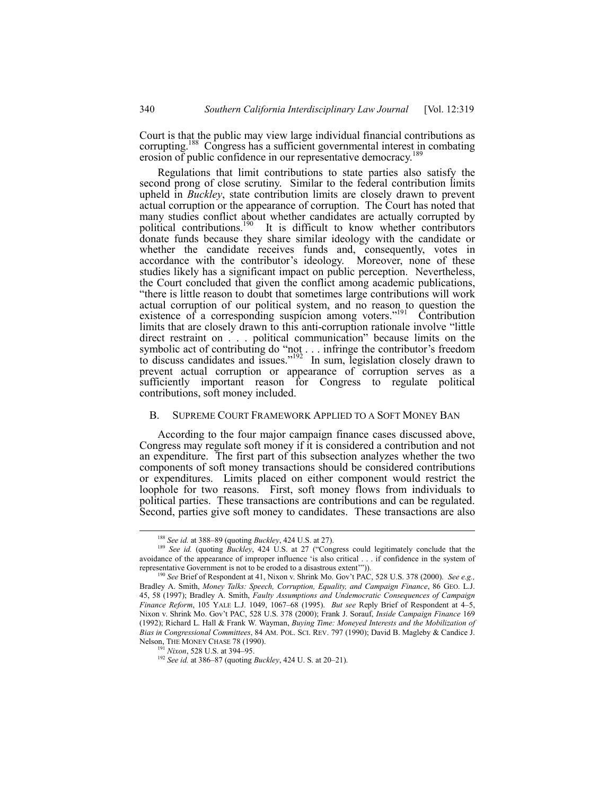Court is that the public may view large individual financial contributions as corrupting.<sup>188</sup> Congress has a sufficient governmental interest in combating erosion of public confidence in our representative democracy.<sup>189</sup>

Regulations that limit contributions to state parties also satisfy the second prong of close scrutiny. Similar to the federal contribution limits upheld in *Buckley*, state contribution limits are closely drawn to prevent actual corruption or the appearance of corruption. The Court has noted that many studies conflict about whether candidates are actually corrupted by political contributions.<sup>190</sup> It is difficult to know whether contributors donate funds because they share similar ideology with the candidate or whether the candidate receives funds and, consequently, votes in accordance with the contributor's ideology. Moreover, none of these studies likely has a significant impact on public perception. Nevertheless, the Court concluded that given the conflict among academic publications, ìthere is little reason to doubt that sometimes large contributions will work actual corruption of our political system, and no reason to question the existence of a corresponding suspicion among voters."<sup>191</sup> Contribution limits that are closely drawn to this anti-corruption rationale involve "little" direct restraint on . . . political communication" because limits on the symbolic act of contributing do "not . . . infringe the contributor's freedom to discuss candidates and issues." $192$  In sum, legislation closely drawn to prevent actual corruption or appearance of corruption serves as a sufficiently important reason  $\hat{f}$  Congress to regulate political contributions, soft money included.

#### B. SUPREME COURT FRAMEWORK APPLIED TO A SOFT MONEY BAN

According to the four major campaign finance cases discussed above, Congress may regulate soft money if it is considered a contribution and not an expenditure. The first part of this subsection analyzes whether the two components of soft money transactions should be considered contributions or expenditures. Limits placed on either component would restrict the loophole for two reasons. First, soft money flows from individuals to political parties. These transactions are contributions and can be regulated. Second, parties give soft money to candidates. These transactions are also

<sup>&</sup>lt;sup>188</sup> See id. at 388-89 (quoting *Buckley*, 424 U.S. at 27).

<sup>&</sup>lt;sup>189</sup> See id. (quoting *Buckley*, 424 U.S. at 27 ("Congress could legitimately conclude that the avoidance of the appearance of improper influence 'is also critical . . . if confidence in the system of representative Government is not to be eroded to a disastrous extent"")).

<sup>190</sup> *See* Brief of Respondent at 41, Nixon v. Shrink Mo. Govít PAC, 528 U.S. 378 (2000). *See e.g.,* Bradley A. Smith, *Money Talks: Speech, Corruption, Equality, and Campaign Finance*, 86 GEO. L.J. 45, 58 (1997); Bradley A. Smith, *Faulty Assumptions and Undemocratic Consequences of Campaign Finance Reform*, 105 YALE L.J. 1049, 1067–68 (1995). *But see* Reply Brief of Respondent at 4–5, Nixon v. Shrink Mo. Govít PAC, 528 U.S. 378 (2000); Frank J. Sorauf, *Inside Campaign Finance* 169 (1992); Richard L. Hall & Frank W. Wayman, *Buying Time: Moneyed Interests and the Mobilization of Bias in Congressional Committees*, 84 AM. POL. SCI. REV. 797 (1990); David B. Magleby & Candice J. Nelson, THE MONEY CHASE 78 (1990).

<sup>&</sup>lt;sup>191</sup> *Nixon*, 528 U.S. at 394–95.

<sup>&</sup>lt;sup>192</sup> *See id.* at 386–87 (quoting *Buckley*, 424 U. S. at 20–21).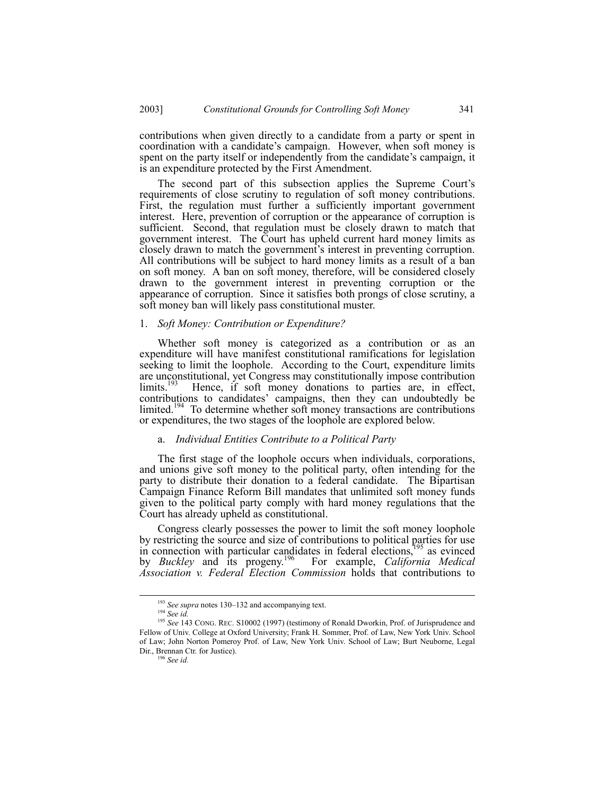contributions when given directly to a candidate from a party or spent in coordination with a candidate's campaign. However, when soft money is spent on the party itself or independently from the candidate's campaign, it is an expenditure protected by the First Amendment.

The second part of this subsection applies the Supreme Court's requirements of close scrutiny to regulation of soft money contributions. First, the regulation must further a sufficiently important government interest. Here, prevention of corruption or the appearance of corruption is sufficient. Second, that regulation must be closely drawn to match that government interest. The Court has upheld current hard money limits as closely drawn to match the government's interest in preventing corruption. All contributions will be subject to hard money limits as a result of a ban on soft money. A ban on soft money, therefore, will be considered closely drawn to the government interest in preventing corruption or the appearance of corruption. Since it satisfies both prongs of close scrutiny, a soft money ban will likely pass constitutional muster.

#### 1. *Soft Money: Contribution or Expenditure?*

Whether soft money is categorized as a contribution or as an expenditure will have manifest constitutional ramifications for legislation seeking to limit the loophole. According to the Court, expenditure limits are unconstitutional, yet Congress may constitutionally impose contribution limits.<sup>193</sup> Hence, if soft money donations to parties are, in effect, contributions to candidates' campaigns, then they can undoubtedly be limited.<sup>194</sup> To determine whether soft money transactions are contributions or expenditures, the two stages of the loophole are explored below.

#### a. *Individual Entities Contribute to a Political Party*

The first stage of the loophole occurs when individuals, corporations, and unions give soft money to the political party, often intending for the party to distribute their donation to a federal candidate. The Bipartisan Campaign Finance Reform Bill mandates that unlimited soft money funds given to the political party comply with hard money regulations that the Court has already upheld as constitutional.

Congress clearly possesses the power to limit the soft money loophole by restricting the source and size of contributions to political parties for use in connection with particular candidates in federal elections,<sup>195</sup> as evinced by *Buckley* and its progeny.196 For example, *California Medical Association v. Federal Election Commission* holds that contributions to

<sup>&</sup>lt;sup>193</sup> See supra notes 130-132 and accompanying text.

<sup>194</sup> *See id.*

<sup>195</sup> *See* 143 CONG. REC. S10002 (1997) (testimony of Ronald Dworkin, Prof. of Jurisprudence and Fellow of Univ. College at Oxford University; Frank H. Sommer, Prof. of Law, New York Univ. School of Law; John Norton Pomeroy Prof. of Law, New York Univ. School of Law; Burt Neuborne, Legal Dir., Brennan Ctr. for Justice).

<sup>196</sup> *See id.*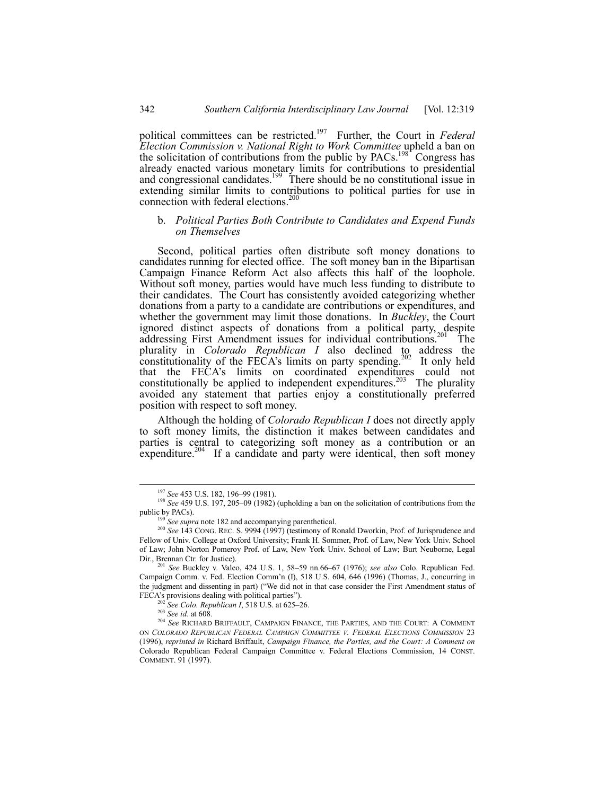political committees can be restricted.197 Further, the Court in *Federal Election Commission v. National Right to Work Committee* upheld a ban on the solicitation of contributions from the public by  $PACS$ .<sup>198</sup> Congress has already enacted various monetary limits for contributions to presidential and congressional candidates.<sup>199</sup> There should be no constitutional issue in extending similar limits to contributions to political parties for use in connection with federal elections.<sup>2</sup>

## b. *Political Parties Both Contribute to Candidates and Expend Funds on Themselves*

Second, political parties often distribute soft money donations to candidates running for elected office. The soft money ban in the Bipartisan Campaign Finance Reform Act also affects this half of the loophole. Without soft money, parties would have much less funding to distribute to their candidates. The Court has consistently avoided categorizing whether donations from a party to a candidate are contributions or expenditures, and whether the government may limit those donations. In *Buckley*, the Court ignored distinct aspects of donations from a political party, despite<br>times in the contribution of the contributions  $201$ . The addressing First Amendment issues for individual contributions.<sup>201</sup> The plurality in *Colorado Republican I* also declined to address the constitutionality of the FECA's limits on party spending.<sup>202</sup> It only held that the FECAís limits on coordinated expenditures could not constitutionally be applied to independent expenditures.<sup>203</sup> The plurality avoided any statement that parties enjoy a constitutionally preferred position with respect to soft money.

Although the holding of *Colorado Republican I* does not directly apply to soft money limits, the distinction it makes between candidates and parties is central to categorizing soft money as a contribution or an expenditure.<sup>204</sup> If a candidate and party were identical, then soft money

See Colo. Republican I, 518 U.S. at 625-26.

<sup>&</sup>lt;sup>197</sup> See 453 U.S. 182, 196-99 (1981).

<sup>&</sup>lt;sup>198</sup> See 459 U.S. 197, 205-09 (1982) (upholding a ban on the solicitation of contributions from the public by PACs).

<sup>199</sup> *See supra* note 182 and accompanying parenthetical.

<sup>200</sup> *See* 143 CONG. REC. S. 9994 (1997) (testimony of Ronald Dworkin, Prof. of Jurisprudence and Fellow of Univ. College at Oxford University; Frank H. Sommer, Prof. of Law, New York Univ. School of Law; John Norton Pomeroy Prof. of Law, New York Univ. School of Law; Burt Neuborne, Legal Dir., Brennan Ctr. for Justice).

*See* Buckley v. Valeo, 424 U.S. 1, 58-59 nn.66-67 (1976); *see also* Colo. Republican Fed. Campaign Comm. v. Fed. Election Comm'n (I), 518 U.S. 604, 646 (1996) (Thomas, J., concurring in the judgment and dissenting in part) ("We did not in that case consider the First Amendment status of FECA's provisions dealing with political parties").

<sup>203</sup> *See id.* at 608.

<sup>204</sup> *See* RICHARD BRIFFAULT, CAMPAIGN FINANCE, THE PARTIES, AND THE COURT: A COMMENT ON *COLORADO REPUBLICAN FEDERAL CAMPAIGN COMMITTEE V. FEDERAL ELECTIONS COMMISSION* 23 (1996), *reprinted in* Richard Briffault, *Campaign Finance, the Parties, and the Court: A Comment on* Colorado Republican Federal Campaign Committee v. Federal Elections Commission, 14 CONST. COMMENT. 91 (1997).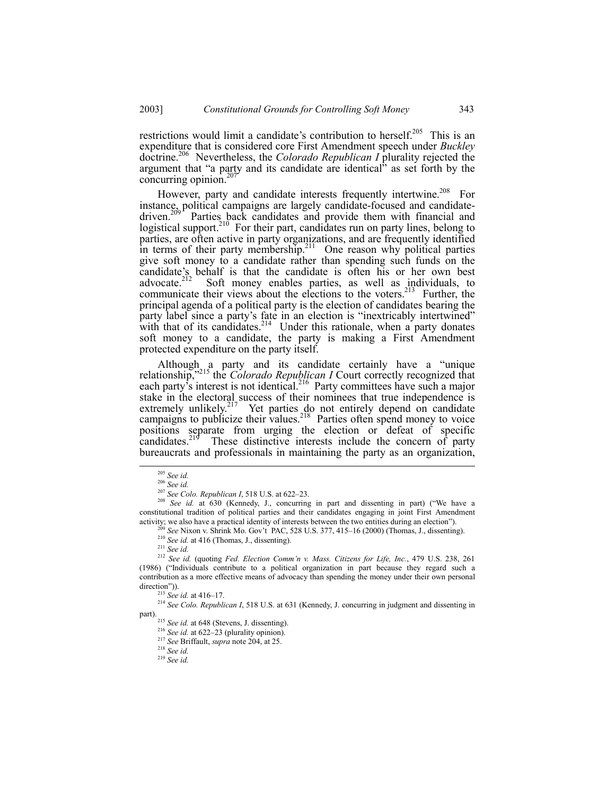restrictions would limit a candidate's contribution to herself.<sup>205</sup> This is an expenditure that is considered core First Amendment speech under *Buckley* doctrine.206 Nevertheless, the *Colorado Republican I* plurality rejected the argument that "a party and its candidate are identical" as set forth by the concurring opinion. $20$ 

However, party and candidate interests frequently intertwine.<sup>208</sup> For instance, political campaigns are largely candidate-focused and candidatedriven.<sup>209</sup> Parties back candidates and provide them with financial and logistical support.<sup>210</sup> For their part, candidates run on party lines, belong to parties, are often active in party organizations, and are frequently identified in terms of their party membership.<sup>211</sup> One reason why political parties give soft money to a candidate rather than spending such funds on the candidate's behalf is that the candidate is often his or her own best advocate. $2^{12}$  Soft money enables parties, as well as individuals, to communicate their views about the elections to the voters.<sup>213</sup> Further, the principal agenda of a political party is the election of candidates bearing the party label since a party's fate in an election is "inextricably intertwined" with that of its candidates. $2^{14}$  Under this rationale, when a party donates soft money to a candidate, the party is making a First Amendment protected expenditure on the party itself.

Although a party and its candidate certainly have a "unique relationship,<sup>215</sup> the *Colorado Republican I* Court correctly recognized that each party's interest is not identical.<sup>216</sup> Party committees have such a major stake in the electoral success of their nominees that true independence is extremely unlikely.<sup>217</sup> Yet parties do not entirely depend on candidate campaigns to publicize their values.<sup>218</sup> Parties often spend money to voice positions separate from urging the election or defeat of specific candidates.<sup>219</sup> These distinctive interests include the concern of party bureaucrats and professionals in maintaining the party as an organization,

<sup>208</sup> *See id.* at 630 (Kennedy, J., concurring in part and dissenting in part) ("We have a constitutional tradition of political parties and their candidates engaging in joint First Amendment activity; we also have a practical identity of interests between the two entities during an electionî).

See Nixon v. Shrink Mo. Gov't PAC, 528 U.S. 377, 415-16 (2000) (Thomas, J., dissenting).

<sup>210</sup> *See id.* at 416 (Thomas, J., dissenting).

<sup>211</sup> *See id.*

<sup>212</sup> *See id.* (quoting *Fed. Election Commín v. Mass. Citizens for Life, Inc.*, 479 U.S. 238, 261 (1986) ("Individuals contribute to a political organization in part because they regard such a contribution as a more effective means of advocacy than spending the money under their own personal direction")).

<sup>213</sup> *See id.* at 416–17.

<sup>214</sup> *See Colo. Republican I*, 518 U.S. at 631 (Kennedy, J. concurring in judgment and dissenting in part).

<sup>216</sup> *See id.* at 622–23 (plurality opinion).

<sup>217</sup> *See* Briffault, *supra* note 204, at 25.

<sup>218</sup> *See id.*

<sup>219</sup> *See id.*

 <sup>205</sup> *See id.*

<sup>206</sup> *See id.*

<sup>&</sup>lt;sup>207</sup> See Colo. Republican I, 518 U.S. at 622-23.

<sup>215</sup> *See id.* at 648 (Stevens, J. dissenting).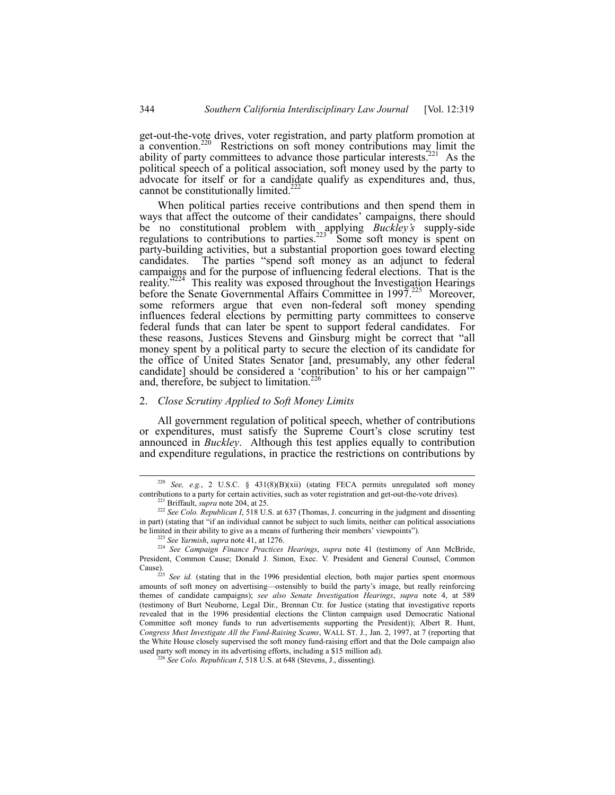get-out-the-vote drives, voter registration, and party platform promotion at a convention.220 Restrictions on soft money contributions may limit the ability of party committees to advance those particular interests.<sup>221</sup> As the political speech of a political association, soft money used by the party to advocate for itself or for a candidate qualify as expenditures and, thus, cannot be constitutionally limited.<sup>222</sup>

When political parties receive contributions and then spend them in ways that affect the outcome of their candidates' campaigns, there should be no constitutional problem with applying *Buckleyís* supply-side regulations to contributions to parties.<sup>223</sup> Some soft money is spent on party-building activities, but a substantial proportion goes toward electing candidates. The parties "spend soft money as an adjunct to federal campaigns and for the purpose of influencing federal elections. That is the reality.<sup>3224</sup> This reality was exposed throughout the Investigation Hearings before the Senate Governmental Affairs Committee in 1997.<sup>225</sup> Moreover, some reformers argue that even non-federal soft money spending influences federal elections by permitting party committees to conserve federal funds that can later be spent to support federal candidates. For these reasons, Justices Stevens and Ginsburg might be correct that "all money spent by a political party to secure the election of its candidate for the office of United States Senator [and, presumably, any other federal candidate] should be considered a 'contribution' to his or her campaign'" and, therefore, be subject to limitation.<sup>226</sup>

#### 2. *Close Scrutiny Applied to Soft Money Limits*

All government regulation of political speech, whether of contributions or expenditures, must satisfy the Supreme Court's close scrutiny test announced in *Buckley*. Although this test applies equally to contribution and expenditure regulations, in practice the restrictions on contributions by

 <sup>220</sup> *See, e.g.*, 2 U.S.C. ß 431(8)(B)(xii) (stating FECA permits unregulated soft money contributions to a party for certain activities, such as voter registration and get-out-the-vote drives).

Briffault, *supra* note 204, at 25.

<sup>222</sup> *See Colo. Republican I*, 518 U.S. at 637 (Thomas, J. concurring in the judgment and dissenting in part) (stating that "if an individual cannot be subject to such limits, neither can political associations be limited in their ability to give as a means of furthering their members' viewpoints").

<sup>223</sup> *See Yarmish*, *supra* note 41, at 1276.

<sup>224</sup> *See Campaign Finance Practices Hearings*, *supra* note 41 (testimony of Ann McBride, President, Common Cause; Donald J. Simon, Exec. V. President and General Counsel, Common Cause).

<sup>&</sup>lt;sup>225</sup> *See id.* (stating that in the 1996 presidential election, both major parties spent enormous amounts of soft money on advertising—ostensibly to build the party's image, but really reinforcing themes of candidate campaigns); *see also Senate Investigation Hearings*, *supra* note 4, at 589 (testimony of Burt Neuborne, Legal Dir., Brennan Ctr. for Justice (stating that investigative reports revealed that in the 1996 presidential elections the Clinton campaign used Democratic National Committee soft money funds to run advertisements supporting the President)); Albert R. Hunt, *Congress Must Investigate All the Fund-Raising Scams*, WALL ST. J., Jan. 2, 1997, at 7 (reporting that the White House closely supervised the soft money fund-raising effort and that the Dole campaign also used party soft money in its advertising efforts, including a \$15 million ad).

<sup>226</sup> *See Colo. Republican I*, 518 U.S. at 648 (Stevens, J., dissenting).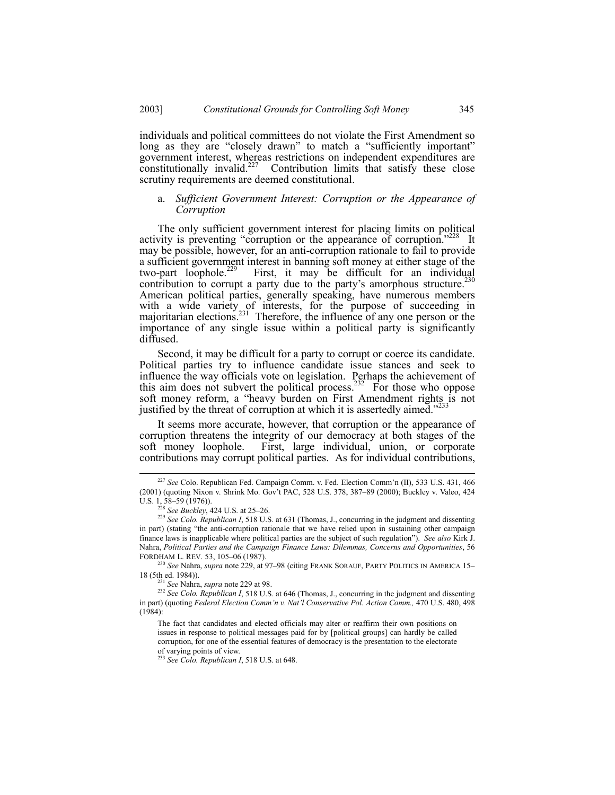individuals and political committees do not violate the First Amendment so long as they are "closely drawn" to match a "sufficiently important" government interest, whereas restrictions on independent expenditures are constitutionally invalid.<sup>227</sup> Contribution limits that satisfy these close scrutiny requirements are deemed constitutional.

## a. *Sufficient Government Interest: Corruption or the Appearance of Corruption*

The only sufficient government interest for placing limits on political activity is preventing "corruption or the appearance of corruption.<sup> $228$ </sup> It may be possible, however, for an anti-corruption rationale to fail to provide a sufficient government interest in banning soft money at either stage of the two-part loophole.<sup>229</sup> First, it may be difficult for an individual First, it may be difficult for an individual contribution to corrupt a party due to the party's amorphous structure.<sup>230</sup> American political parties, generally speaking, have numerous members with a wide variety of interests, for the purpose of succeeding in majoritarian elections.<sup>231</sup> Therefore, the influence of any one person or the importance of any single issue within a political party is significantly diffused.

Second, it may be difficult for a party to corrupt or coerce its candidate. Political parties try to influence candidate issue stances and seek to influence the way officials vote on legislation. Perhaps the achievement of this aim does not subvert the political process.<sup>232</sup> For those who oppose soft money reform, a "heavy burden on First Amendment rights is not justified by the threat of corruption at which it is assertedly aimed.<sup> $2$ </sup>

It seems more accurate, however, that corruption or the appearance of corruption threatens the integrity of our democracy at both stages of the soft money loophole. First, large individual, union, or corporate contributions may corrupt political parties. As for individual contributions,

<sup>&</sup>lt;sup>227</sup> See Colo. Republican Fed. Campaign Comm. v. Fed. Election Comm'n (II), 533 U.S. 431, 466 (2001) (quoting Nixon v. Shrink Mo. Gov't PAC, 528 U.S. 378, 387-89 (2000); Buckley v. Valeo, 424 U.S.  $1, 58-59$  (1976)).

<sup>&</sup>lt;sup>228</sup> See Buckley, 424 U.S. at 25–26.

<sup>&</sup>lt;sup>229</sup> See Colo. Republican I, 518 U.S. at 631 (Thomas, J., concurring in the judgment and dissenting in part) (stating "the anti-corruption rationale that we have relied upon in sustaining other campaign finance laws is inapplicable where political parties are the subject of such regulationî). *See also* Kirk J. Nahra, *Political Parties and the Campaign Finance Laws: Dilemmas, Concerns and Opportunities*, 56 FORDHAM L. REV. 53, 105-06 (1987).

<sup>&</sup>lt;sup>230</sup> See Nahra, *supra* note 229, at 97-98 (citing FRANK SORAUF, PARTY POLITICS IN AMERICA 15-18 (5th ed. 1984)).

<sup>231</sup> *See* Nahra, *supra* note 229 at 98.

<sup>&</sup>lt;sup>232</sup> See Colo. Republican I, 518 U.S. at 646 (Thomas, J., concurring in the judgment and dissenting in part) (quoting *Federal Election Commín v. Natíl Conservative Pol. Action Comm.,* 470 U.S. 480, 498 (1984):

The fact that candidates and elected officials may alter or reaffirm their own positions on issues in response to political messages paid for by [political groups] can hardly be called corruption, for one of the essential features of democracy is the presentation to the electorate of varying points of view.

<sup>233</sup> *See Colo. Republican I*, 518 U.S. at 648.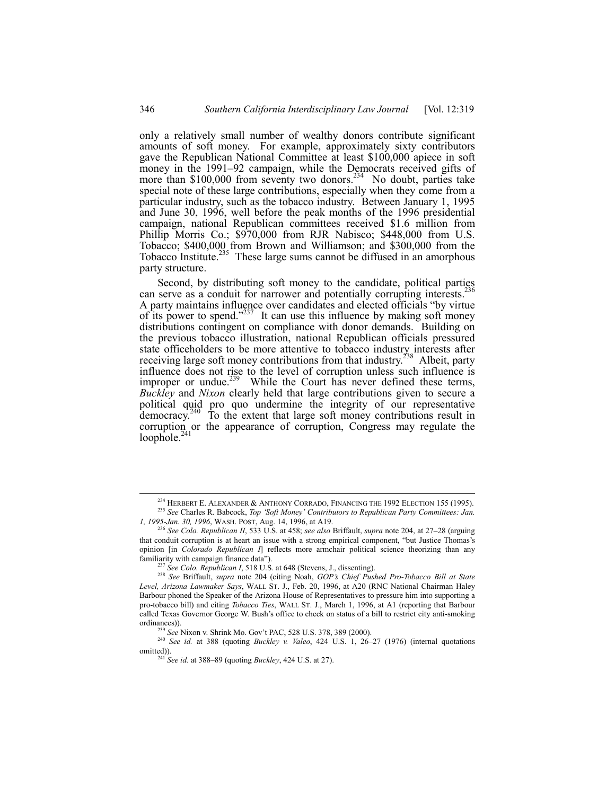only a relatively small number of wealthy donors contribute significant amounts of soft money. For example, approximately sixty contributors gave the Republican National Committee at least \$100,000 apiece in soft money in the 1991–92 campaign, while the Democrats received gifts of more than  $$100,000$  from seventy two donors.<sup>234</sup> No doubt, parties take special note of these large contributions, especially when they come from a particular industry, such as the tobacco industry. Between January 1, 1995 and June 30, 1996, well before the peak months of the 1996 presidential campaign, national Republican committees received \$1.6 million from Phillip Morris Co.; \$970,000 from RJR Nabisco; \$448,000 from U.S. Tobacco; \$400,000 from Brown and Williamson; and \$300,000 from the Tobacco Institute.<sup>235</sup> These large sums cannot be diffused in an amorphous party structure.

Second, by distributing soft money to the candidate, political parties can serve as a conduit for narrower and potentially corrupting interests.<sup>2</sup> A party maintains influence over candidates and elected officials "by virtue of its power to spend. $1237$  It can use this influence by making soft money distributions contingent on compliance with donor demands. Building on the previous tobacco illustration, national Republican officials pressured state officeholders to be more attentive to tobacco industry interests after receiving large soft money contributions from that industry.<sup>238</sup> Albeit, party influence does not rise to the level of corruption unless such influence is improper or undue.<sup>239</sup> While the Court has never defined these terms, *Buckley* and *Nixon* clearly held that large contributions given to secure a political quid pro quo undermine the integrity of our representative democracy. $240$  To the extent that large soft money contributions result in corruption or the appearance of corruption, Congress may regulate the loophole. $^{24}$ 

<sup>&</sup>lt;sup>234</sup> HERBERT E. ALEXANDER & ANTHONY CORRADO, FINANCING THE 1992 ELECTION 155 (1995).

<sup>&</sup>lt;sup>235</sup> See Charles R. Babcock, *Top 'Soft Money' Contributors to Republican Party Committees: Jan. 1, 1995-Jan. 30, 1996*, WASH. POST, Aug. 14, 1996, at A19.

<sup>&</sup>lt;sup>236</sup> See Colo. Republican II, 533 U.S. at 458; *see also* Briffault, *supra* note 204, at 27-28 (arguing that conduit corruption is at heart an issue with a strong empirical component, "but Justice Thomas's opinion [in *Colorado Republican I*] reflects more armchair political science theorizing than any familiarity with campaign finance data").

<sup>237</sup> *See Colo. Republican I*, 518 U.S. at 648 (Stevens, J., dissenting).

<sup>238</sup> *See* Briffault, *supra* note 204 (citing Noah, *GOPís Chief Pushed Pro-Tobacco Bill at State Level, Arizona Lawmaker Says*, WALL ST. J., Feb. 20, 1996, at A20 (RNC National Chairman Haley Barbour phoned the Speaker of the Arizona House of Representatives to pressure him into supporting a pro-tobacco bill) and citing *Tobacco Ties*, WALL ST. J., March 1, 1996, at A1 (reporting that Barbour called Texas Governor George W. Bush's office to check on status of a bill to restrict city anti-smoking ordinances)).

<sup>239</sup> *See* Nixon v. Shrink Mo. Govít PAC, 528 U.S. 378, 389 (2000).

<sup>&</sup>lt;sup>240</sup> *See id.* at 388 (quoting *Buckley v. Valeo*, 424 U.S. 1, 26–27 (1976) (internal quotations omitted)).

 $^{241}$  *See id.* at 388–89 (quoting *Buckley*, 424 U.S. at 27).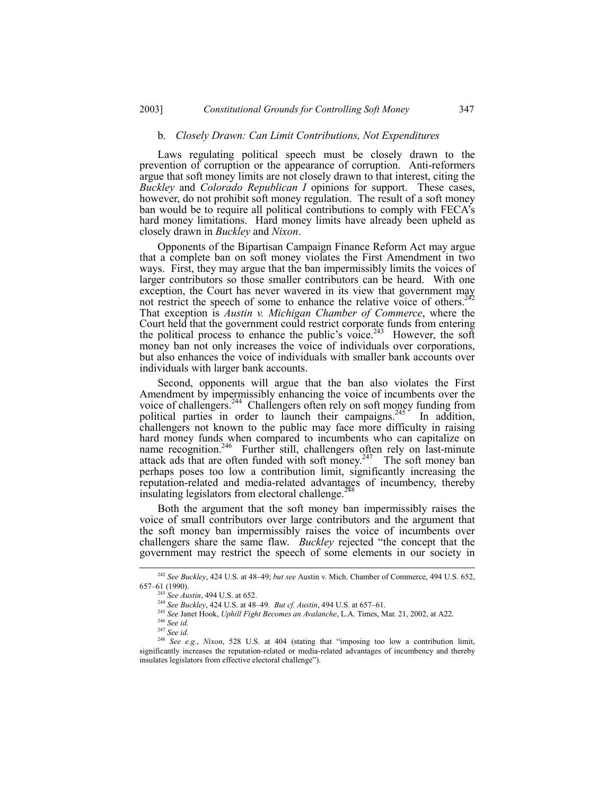## b. *Closely Drawn: Can Limit Contributions, Not Expenditures*

Laws regulating political speech must be closely drawn to the prevention of corruption or the appearance of corruption. Anti-reformers argue that soft money limits are not closely drawn to that interest, citing the *Buckley* and *Colorado Republican I* opinions for support. These cases, however, do not prohibit soft money regulation. The result of a soft money ban would be to require all political contributions to comply with FECA's hard money limitations. Hard money limits have already been upheld as closely drawn in *Buckley* and *Nixon*.

Opponents of the Bipartisan Campaign Finance Reform Act may argue that a complete ban on soft money violates the First Amendment in two ways. First, they may argue that the ban impermissibly limits the voices of larger contributors so those smaller contributors can be heard. With one exception, the Court has never wavered in its view that government may not restrict the speech of some to enhance the relative voice of others.<sup>242</sup> That exception is *Austin v. Michigan Chamber of Commerce*, where the Court held that the government could restrict corporate funds from entering the political process to enhance the public's voice.<sup>243</sup> However, the soft money ban not only increases the voice of individuals over corporations, but also enhances the voice of individuals with smaller bank accounts over individuals with larger bank accounts.

Second, opponents will argue that the ban also violates the First Amendment by impermissibly enhancing the voice of incumbents over the voice of challengers.<sup>244</sup> Challengers often rely on soft money funding from political parties in order to launch their campaigns.<sup>245</sup> In addition, challengers not known to the public may face more difficulty in raising hard money funds when compared to incumbents who can capitalize on name recognition.<sup>246</sup> Further still, challengers often rely on last-minute attack ads that are often funded with soft money.<sup>247</sup> The soft money ban perhaps poses too low a contribution limit, significantly increasing the reputation-related and media-related advantages of incumbency, thereby insulating legislators from electoral challenge.<sup>2</sup>

Both the argument that the soft money ban impermissibly raises the voice of small contributors over large contributors and the argument that the soft money ban impermissibly raises the voice of incumbents over challengers share the same flaw. *Buckley* rejected "the concept that the government may restrict the speech of some elements in our society in

<sup>&</sup>lt;sup>242</sup> See Buckley, 424 U.S. at 48-49; *but see Austin v. Mich. Chamber of Commerce*, 494 U.S. 652, 657-61 (1990).

<sup>243</sup> *See Austin*, 494 U.S. at 652.

<sup>&</sup>lt;sup>244</sup> *See Buckley*, 424 U.S. at 48–49. *But cf. Austin*, 494 U.S. at 657–61.

<sup>245</sup> *See* Janet Hook, *Uphill Fight Becomes an Avalanche*, L.A. Times, Mar. 21, 2002, at A22.

<sup>246</sup> *See id.*

<sup>247</sup> *See id.*

<sup>&</sup>lt;sup>248</sup> See e.g., Nixon, 528 U.S. at 404 (stating that "imposing too low a contribution limit, significantly increases the reputation-related or media-related advantages of incumbency and thereby insulates legislators from effective electoral challenge").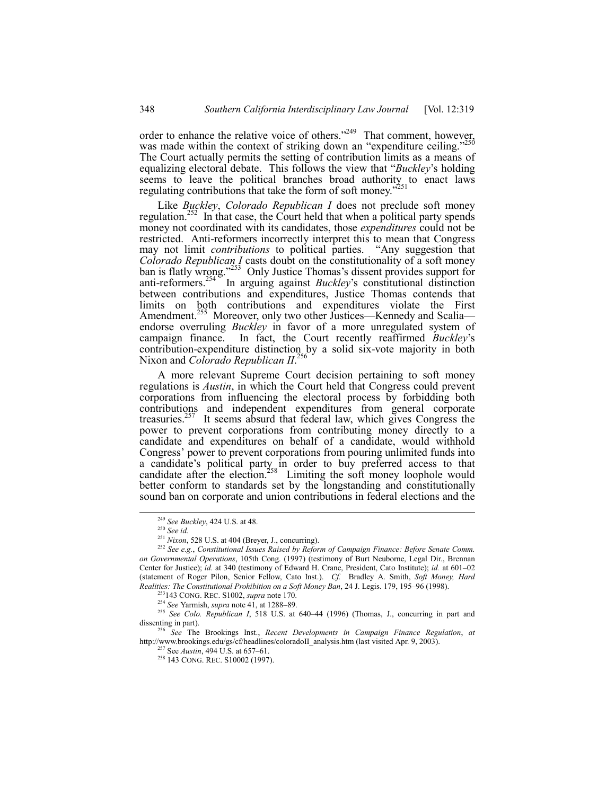order to enhance the relative voice of others.<sup>2249</sup> That comment, however, was made within the context of striking down an "expenditure ceiling.<sup>7250</sup> The Court actually permits the setting of contribution limits as a means of equalizing electoral debate. This follows the view that *''Buckley*'s holding seems to leave the political branches broad authority to enact laws regulating contributions that take the form of soft money.<sup>7</sup>

Like *Buckley*, *Colorado Republican I* does not preclude soft money regulation.<sup>252</sup> In that case, the Court held that when a political party spends money not coordinated with its candidates, those *expenditures* could not be restricted. Anti-reformers incorrectly interpret this to mean that Congress may not limit *contributions* to political parties. "Any suggestion that *Colorado Republican I* casts doubt on the constitutionality of a soft money ban is flatly wrong.<sup>7253</sup> Only Justice Thomas's dissent provides support for anti-reformers.<sup>254</sup> In arguing against *Buckley*'s constitutional distinction between contributions and expenditures, Justice Thomas contends that limits on both contributions and expenditures violate the First Amendment.<sup>255</sup> Moreover, only two other Justices—Kennedy and Scalia endorse overruling *Buckley* in favor of a more unregulated system of campaign finance. In fact, the Court recently reaffirmed *Buckley's* contribution-expenditure distinction by a solid six-vote majority in both Nixon and *Colorado Republican II*. 256

A more relevant Supreme Court decision pertaining to soft money regulations is *Austin*, in which the Court held that Congress could prevent corporations from influencing the electoral process by forbidding both contributions and independent expenditures from general corporate treasuries.<sup>257</sup> It seems absurd that federal law, which gives Congress the power to prevent corporations from contributing money directly to a candidate and expenditures on behalf of a candidate, would withhold Congress' power to prevent corporations from pouring unlimited funds into a candidate's political party in order to buy preferred access to that candidate after the election.<sup>258</sup> Limiting the soft money loophole would better conform to standards set by the longstanding and constitutionally sound ban on corporate and union contributions in federal elections and the

<sup>256</sup> *See* The Brookings Inst., *Recent Developments in Campaign Finance Regulation*, *at* http://www.brookings.edu/gs/cf/headlines/coloradoII\_analysis.htm (last visited Apr. 9, 2003).

 <sup>249</sup> *See Buckley*, 424 U.S. at 48.

<sup>250</sup> *See id.*

<sup>251</sup> *Nixon*, 528 U.S. at 404 (Breyer, J., concurring).

<sup>252</sup> *See e.g.*, *Constitutional Issues Raised by Reform of Campaign Finance: Before Senate Comm. on Governmental Operations*, 105th Cong. (1997) (testimony of Burt Neuborne, Legal Dir., Brennan Center for Justice); *id.* at 340 (testimony of Edward H. Crane, President, Cato Institute); *id.* at 601-02 (statement of Roger Pilon, Senior Fellow, Cato Inst.). *Cf.* Bradley A. Smith, *Soft Money, Hard Realities: The Constitutional Prohibition on a Soft Money Ban, 24 J. Legis. 179, 195-96 (1998).* 

<sup>253143</sup> CONG. REC. S1002, *supra* note 170.

<sup>&</sup>lt;sup>254</sup> See Yarmish, *supra* note 41, at 1288–89.

<sup>&</sup>lt;sup>255</sup> See Colo. Republican I, 518 U.S. at 640–44 (1996) (Thomas, J., concurring in part and dissenting in part).

<sup>&</sup>lt;sup>257</sup> See *Austin*, 494 U.S. at 657–61.

<sup>258 143</sup> CONG. REC. S10002 (1997).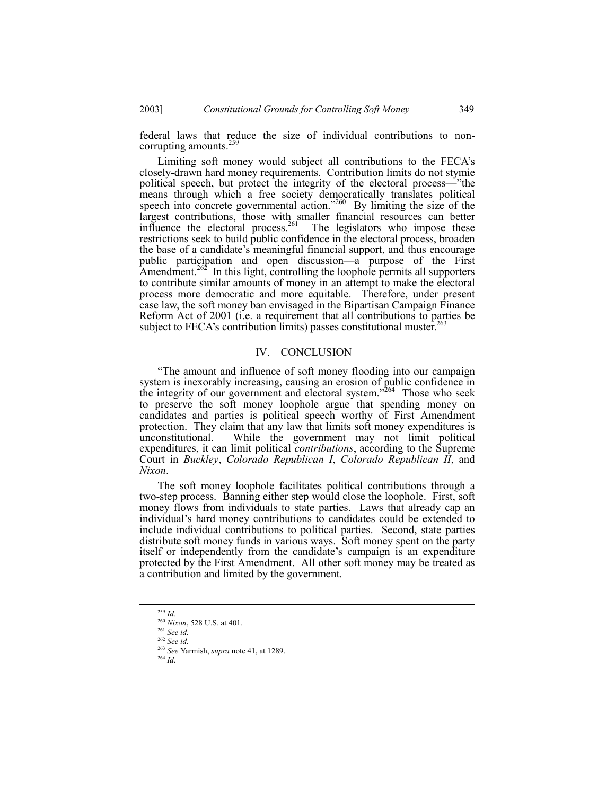federal laws that reduce the size of individual contributions to noncorrupting amounts. $<sup>2</sup>$ </sup>

Limiting soft money would subject all contributions to the FECA's closely-drawn hard money requirements. Contribution limits do not stymie political speech, but protect the integrity of the electoral process—"the means through which a free society democratically translates political speech into concrete governmental action.<sup> $260$ </sup> By limiting the size of the largest contributions, those with smaller financial resources can better influence the electoral process.<sup>261</sup> The legislators who impose these restrictions seek to build public confidence in the electoral process, broaden the base of a candidate's meaningful financial support, and thus encourage public participation and open discussion—a purpose of the First Amendment.<sup>262</sup> In this light, controlling the loophole permits all supporters to contribute similar amounts of money in an attempt to make the electoral process more democratic and more equitable. Therefore, under present case law, the soft money ban envisaged in the Bipartisan Campaign Finance Reform Act of 2001 (i.e. a requirement that all contributions to parties be subject to FECA's contribution limits) passes constitutional muster.<sup>263</sup>

#### IV. CONCLUSION

ìThe amount and influence of soft money flooding into our campaign system is inexorably increasing, causing an erosion of public confidence in the integrity of our government and electoral system.<sup> $564$ </sup> Those who seek to preserve the soft money loophole argue that spending money on candidates and parties is political speech worthy of First Amendment protection. They claim that any law that limits soft money expenditures is unconstitutional. While the government may not limit political expenditures, it can limit political *contributions*, according to the Supreme Court in *Buckley*, *Colorado Republican I*, *Colorado Republican II*, and *Nixon*.

The soft money loophole facilitates political contributions through a two-step process. Banning either step would close the loophole. First, soft money flows from individuals to state parties. Laws that already cap an individual's hard money contributions to candidates could be extended to include individual contributions to political parties. Second, state parties distribute soft money funds in various ways. Soft money spent on the party itself or independently from the candidate's campaign is an expenditure protected by the First Amendment. All other soft money may be treated as a contribution and limited by the government.

 <sup>259</sup> *Id.*

<sup>260</sup> *Nixon*, 528 U.S. at 401.

<sup>261</sup> *See id.*

<sup>262</sup> *See id.*

<sup>263</sup> *See* Yarmish, *supra* note 41, at 1289.

<sup>264</sup> *Id.*